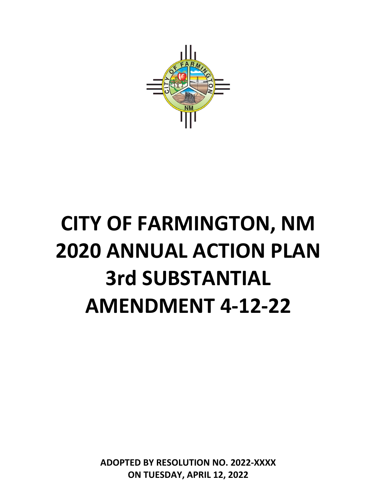

# **CITY OF FARMINGTON, NM 2020 ANNUAL ACTION PLAN 3rd SUBSTANTIAL AMENDMENT 4-12-22**

**ADOPTED BY RESOLUTION NO. 2022-XXXX ON TUESDAY, APRIL 12, 2022**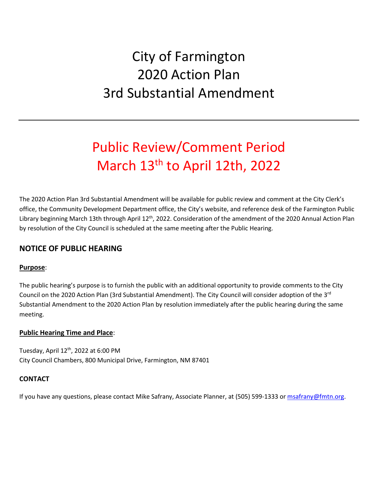# City of Farmington 2020 Action Plan 3rd Substantial Amendment

# Public Review/Comment Period March 13<sup>th</sup> to April 12th, 2022

The 2020 Action Plan 3rd Substantial Amendment will be available for public review and comment at the City Clerk's office, the Community Development Department office, the City's website, and reference desk of the Farmington Public Library beginning March 13th through April 12<sup>th</sup>, 2022. Consideration of the amendment of the 2020 Annual Action Plan by resolution of the City Council is scheduled at the same meeting after the Public Hearing.

# **NOTICE OF PUBLIC HEARING**

#### **Purpose**:

The public hearing's purpose is to furnish the public with an additional opportunity to provide comments to the City Council on the 2020 Action Plan (3rd Substantial Amendment). The City Council will consider adoption of the 3<sup>rd</sup> Substantial Amendment to the 2020 Action Plan by resolution immediately after the public hearing during the same meeting.

#### **Public Hearing Time and Place**:

Tuesday, April 12<sup>th</sup>, 2022 at 6:00 PM City Council Chambers, 800 Municipal Drive, Farmington, NM 87401

#### **CONTACT**

If you have any questions, please contact Mike Safrany, Associate Planner, at (505) 599-1333 o[r msafrany@fmtn.org.](mailto:msafrany@fmtn.org)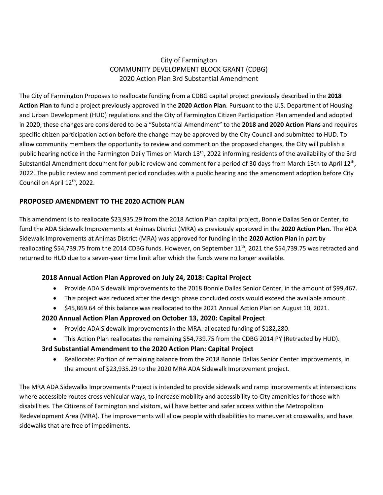#### City of Farmington COMMUNITY DEVELOPMENT BLOCK GRANT (CDBG) 2020 Action Plan 3rd Substantial Amendment

The City of Farmington Proposes to reallocate funding from a CDBG capital project previously described in the **2018 Action Plan** to fund a project previously approved in the **2020 Action Plan**. Pursuant to the U.S. Department of Housing and Urban Development (HUD) regulations and the City of Farmington Citizen Participation Plan amended and adopted in 2020, these changes are considered to be a "Substantial Amendment" to the **2018 and 2020 Action Plans** and requires specific citizen participation action before the change may be approved by the City Council and submitted to HUD. To allow community members the opportunity to review and comment on the proposed changes, the City will publish a public hearing notice in the Farmington Daily Times on March 13<sup>th</sup>, 2022 informing residents of the availability of the 3rd Substantial Amendment document for public review and comment for a period of 30 days from March 13th to April  $12<sup>th</sup>$ , 2022. The public review and comment period concludes with a public hearing and the amendment adoption before City Council on April 12<sup>th</sup>, 2022.

#### **PROPOSED AMENDMENT TO THE 2020 ACTION PLAN**

This amendment is to reallocate \$23,935.29 from the 2018 Action Plan capital project, Bonnie Dallas Senior Center, to fund the ADA Sidewalk Improvements at Animas District (MRA) as previously approved in the **2020 Action Plan.** The ADA Sidewalk Improvements at Animas District (MRA) was approved for funding in the **2020 Action Plan** in part by reallocating \$54,739.75 from the 2014 CDBG funds. However, on September 11<sup>th</sup>, 2021 the \$54,739.75 was retracted and returned to HUD due to a seven-year time limit after which the funds were no longer available.

#### **2018 Annual Action Plan Approved on July 24, 2018: Capital Project**

- Provide ADA Sidewalk Improvements to the 2018 Bonnie Dallas Senior Center, in the amount of \$99,467.
- This project was reduced after the design phase concluded costs would exceed the available amount.
- \$45,869.64 of this balance was reallocated to the 2021 Annual Action Plan on August 10, 2021.

#### **2020 Annual Action Plan Approved on October 13, 2020: Capital Project**

- Provide ADA Sidewalk Improvements in the MRA: allocated funding of \$182,280.
- This Action Plan reallocates the remaining \$54,739.75 from the CDBG 2014 PY (Retracted by HUD).

#### **3rd Substantial Amendment to the 2020 Action Plan: Capital Project**

• Reallocate: Portion of remaining balance from the 2018 Bonnie Dallas Senior Center Improvements, in the amount of \$23,935.29 to the 2020 MRA ADA Sidewalk Improvement project.

The MRA ADA Sidewalks Improvements Project is intended to provide sidewalk and ramp improvements at intersections where accessible routes cross vehicular ways, to increase mobility and accessibility to City amenities for those with disabilities. The Citizens of Farmington and visitors, will have better and safer access within the Metropolitan Redevelopment Area (MRA). The improvements will allow people with disabilities to maneuver at crosswalks, and have sidewalks that are free of impediments.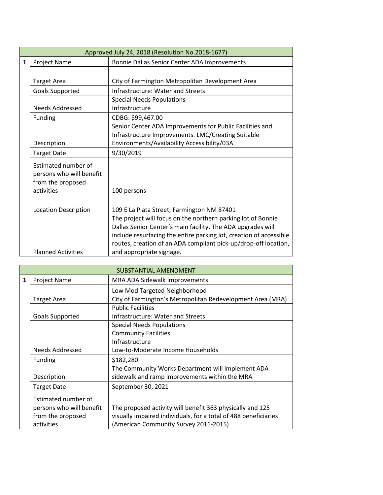|   |                             | Approved July 24, 2018 (Resolution No.2018-1677)                   |  |  |
|---|-----------------------------|--------------------------------------------------------------------|--|--|
| 1 | Project Name                | Bonnie Dallas Senior Center ADA Improvements                       |  |  |
|   |                             |                                                                    |  |  |
|   | <b>Target Area</b>          | City of Farmington Metropolitan Development Area                   |  |  |
|   | <b>Goals Supported</b>      | <b>Infrastructure: Water and Streets</b>                           |  |  |
|   |                             | <b>Special Needs Populations</b>                                   |  |  |
|   | <b>Needs Addressed</b>      | Infrastructure                                                     |  |  |
|   | Funding                     | CDBG: \$99,467.00                                                  |  |  |
|   |                             | Senior Center ADA Improvements for Public Facilities and           |  |  |
|   |                             | Infrastructure Improvements. LMC/Creating Suitable                 |  |  |
|   | Description                 | Environments/Availability Accessibility/03A                        |  |  |
|   | <b>Target Date</b>          | 9/30/2019                                                          |  |  |
|   | Estimated number of         |                                                                    |  |  |
|   | persons who will benefit    |                                                                    |  |  |
|   | from the proposed           |                                                                    |  |  |
|   | activities                  | 100 persons                                                        |  |  |
|   |                             |                                                                    |  |  |
|   | <b>Location Description</b> | 109 E La Plata Street, Farmington NM 87401                         |  |  |
|   |                             | The project will focus on the northern parking lot of Bonnie       |  |  |
|   |                             | Dallas Senior Center's main facility. The ADA upgrades will        |  |  |
|   |                             | include resurfacing the entire parking lot, creation of accessible |  |  |
|   |                             | routes, creation of an ADA compliant pick-up/drop-off location,    |  |  |
|   | <b>Planned Activities</b>   | and appropriate signage.                                           |  |  |

|                                  | SUBSTANTIAL AMENDMENT                                                                 |                                                                 |  |  |  |
|----------------------------------|---------------------------------------------------------------------------------------|-----------------------------------------------------------------|--|--|--|
|                                  |                                                                                       |                                                                 |  |  |  |
| 1                                | Project Name                                                                          | MRA ADA Sidewalk Improvements                                   |  |  |  |
|                                  |                                                                                       | Low Mod Targeted Neighborhood                                   |  |  |  |
|                                  | <b>Target Area</b>                                                                    | City of Farmington's Metropolitan Redevelopment Area (MRA)      |  |  |  |
|                                  |                                                                                       | <b>Public Facilities</b>                                        |  |  |  |
|                                  | <b>Goals Supported</b>                                                                | Infrastructure: Water and Streets                               |  |  |  |
| <b>Special Needs Populations</b> |                                                                                       |                                                                 |  |  |  |
|                                  | <b>Community Facilities</b>                                                           |                                                                 |  |  |  |
|                                  | Infrastructure                                                                        |                                                                 |  |  |  |
|                                  | Needs Addressed                                                                       | Low-to-Moderate Income Households                               |  |  |  |
|                                  | Funding                                                                               | \$182,280                                                       |  |  |  |
|                                  |                                                                                       | The Community Works Department will implement ADA               |  |  |  |
|                                  | Description                                                                           | sidewalk and ramp improvements within the MRA                   |  |  |  |
|                                  | <b>Target Date</b>                                                                    | September 30, 2021                                              |  |  |  |
|                                  | Estimated number of                                                                   |                                                                 |  |  |  |
|                                  | The proposed activity will benefit 363 physically and 125<br>persons who will benefit |                                                                 |  |  |  |
|                                  | from the proposed                                                                     | visually impaired individuals, for a total of 488 beneficiaries |  |  |  |
|                                  | activities                                                                            | (American Community Survey 2011-2015)                           |  |  |  |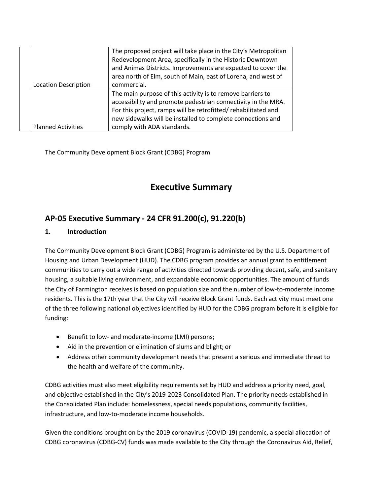| <b>Location Description</b> | The proposed project will take place in the City's Metropolitan<br>Redevelopment Area, specifically in the Historic Downtown<br>and Animas Districts. Improvements are expected to cover the<br>area north of Elm, south of Main, east of Lorena, and west of<br>commercial.              |
|-----------------------------|-------------------------------------------------------------------------------------------------------------------------------------------------------------------------------------------------------------------------------------------------------------------------------------------|
| <b>Planned Activities</b>   | The main purpose of this activity is to remove barriers to<br>accessibility and promote pedestrian connectivity in the MRA.<br>For this project, ramps will be retrofitted/rehabilitated and<br>new sidewalks will be installed to complete connections and<br>comply with ADA standards. |

The Community Development Block Grant (CDBG) Program

# **Executive Summary**

# **AP-05 Executive Summary - 24 CFR 91.200(c), 91.220(b)**

#### **1. Introduction**

The Community Development Block Grant (CDBG) Program is administered by the U.S. Department of Housing and Urban Development (HUD). The CDBG program provides an annual grant to entitlement communities to carry out a wide range of activities directed towards providing decent, safe, and sanitary housing, a suitable living environment, and expandable economic opportunities. The amount of funds the City of Farmington receives is based on population size and the number of low-to-moderate income residents. This is the 17th year that the City will receive Block Grant funds. Each activity must meet one of the three following national objectives identified by HUD for the CDBG program before it is eligible for funding:

- Benefit to low- and moderate-income (LMI) persons;
- Aid in the prevention or elimination of slums and blight; or
- Address other community development needs that present a serious and immediate threat to the health and welfare of the community.

CDBG activities must also meet eligibility requirements set by HUD and address a priority need, goal, and objective established in the City's 2019-2023 Consolidated Plan. The priority needs established in the Consolidated Plan include: homelessness, special needs populations, community facilities, infrastructure, and low-to-moderate income households.

Given the conditions brought on by the 2019 coronavirus (COVID-19) pandemic, a special allocation of CDBG coronavirus (CDBG-CV) funds was made available to the City through the Coronavirus Aid, Relief,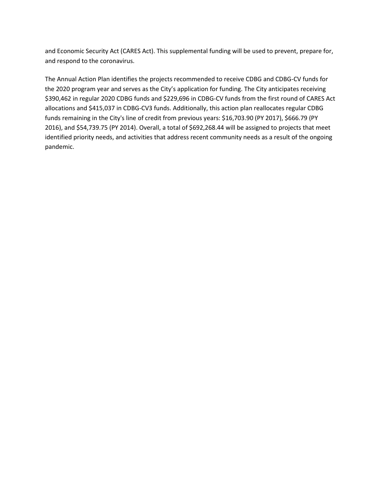and Economic Security Act (CARES Act). This supplemental funding will be used to prevent, prepare for, and respond to the coronavirus.

The Annual Action Plan identifies the projects recommended to receive CDBG and CDBG-CV funds for the 2020 program year and serves as the City's application for funding. The City anticipates receiving \$390,462 in regular 2020 CDBG funds and \$229,696 in CDBG-CV funds from the first round of CARES Act allocations and \$415,037 in CDBG-CV3 funds. Additionally, this action plan reallocates regular CDBG funds remaining in the City's line of credit from previous years: \$16,703.90 (PY 2017), \$666.79 (PY 2016), and \$54,739.75 (PY 2014). Overall, a total of \$692,268.44 will be assigned to projects that meet identified priority needs, and activities that address recent community needs as a result of the ongoing pandemic.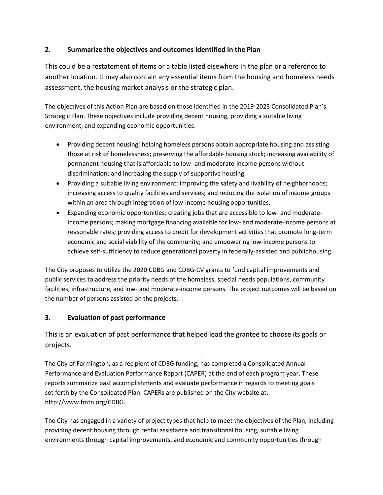#### **2. Summarize the objectives and outcomes identified in the Plan**

This could be a restatement of items or a table listed elsewhere in the plan or a reference to another location. It may also contain any essential items from the housing and homeless needs assessment, the housing market analysis or the strategic plan.

The objectives of this Action Plan are based on those identified in the 2019-2023 Consolidated Plan's Strategic Plan. These objectives include providing decent housing, providing a suitable living environment, and expanding economic opportunities:

- Providing decent housing: helping homeless persons obtain appropriate housing and assisting those at risk of homelessness; preserving the affordable housing stock; increasing availability of permanent housing that is affordable to low- and moderate-income persons without discrimination; and increasing the supply of supportive housing.
- Providing a suitable living environment: improving the safety and livability of neighborhoods; increasing access to quality facilities and services; and reducing the isolation of income groups within an area through integration of low-income housing opportunities.
- Expanding economic opportunities: creating jobs that are accessible to low- and moderateincome persons; making mortgage financing available for low- and moderate-income persons at reasonable rates; providing access to credit for development activities that promote long-term economic and social viability of the community; and empowering low-income persons to achieve self-sufficiency to reduce generational poverty in federally-assisted and publichousing.

The City proposes to utilize the 2020 CDBG and CDBG-CV grants to fund capital improvements and public services to address the priority needs of the homeless, special needs populations, community facilities, infrastructure, and low- and moderate-income persons. The project outcomes will be based on the number of persons assisted on the projects.

#### **3. Evaluation of past performance**

This is an evaluation of past performance that helped lead the grantee to choose its goals or projects.

The City of Farmington, as a recipient of CDBG funding, has completed a Consolidated Annual Performance and Evaluation Performance Report (CAPER) at the end of each program year. These reports summarize past accomplishments and evaluate performance in regards to meeting goals set forth by the Consolidated Plan. CAPERs are published on the City website at[:](http://www.fmtn.org/CDBG) [http://www.fmtn.org/CDBG.](http://www.fmtn.org/CDBG)

The City has engaged in a variety of project types that help to meet the objectives of the Plan, including providing decent housing through rental assistance and transitional housing, suitable living environments through capital improvements, and economic and community opportunities through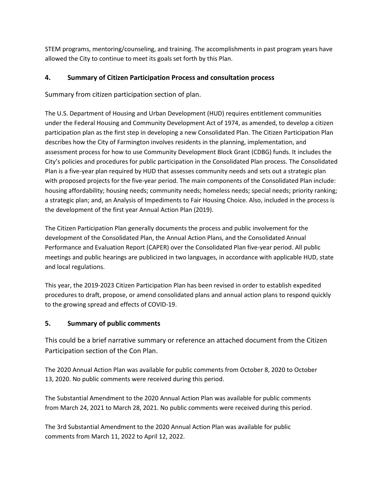STEM programs, mentoring/counseling, and training. The accomplishments in past program years have allowed the City to continue to meet its goals set forth by this Plan.

#### **4. Summary of Citizen Participation Process and consultation process**

Summary from citizen participation section of plan.

The U.S. Department of Housing and Urban Development (HUD) requires entitlement communities under the Federal Housing and Community Development Act of 1974, as amended, to develop a citizen participation plan as the first step in developing a new Consolidated Plan. The Citizen Participation Plan describes how the City of Farmington involves residents in the planning, implementation, and assessment process for how to use Community Development Block Grant (CDBG) funds. It includes the City's policies and procedures for public participation in the Consolidated Plan process. The Consolidated Plan is a five-year plan required by HUD that assesses community needs and sets out a strategic plan with proposed projects for the five-year period. The main components of the Consolidated Plan include: housing affordability; housing needs; community needs; homeless needs; special needs; priority ranking; a strategic plan; and, an Analysis of Impediments to Fair Housing Choice. Also, included in the process is the development of the first year Annual Action Plan (2019).

The Citizen Participation Plan generally documents the process and public involvement for the development of the Consolidated Plan, the Annual Action Plans, and the Consolidated Annual Performance and Evaluation Report (CAPER) over the Consolidated Plan five-year period. All public meetings and public hearings are publicized in two languages, in accordance with applicable HUD, state and local regulations.

This year, the 2019-2023 Citizen Participation Plan has been revised in order to establish expedited procedures to draft, propose, or amend consolidated plans and annual action plans to respond quickly to the growing spread and effects of COVID-19.

#### **5. Summary of public comments**

This could be a brief narrative summary or reference an attached document from the Citizen Participation section of the Con Plan.

The 2020 Annual Action Plan was available for public comments from October 8, 2020 to October 13, 2020. No public comments were received during this period.

The Substantial Amendment to the 2020 Annual Action Plan was available for public comments from March 24, 2021 to March 28, 2021. No public comments were received during this period.

The 3rd Substantial Amendment to the 2020 Annual Action Plan was available for public comments from March 11, 2022 to April 12, 2022.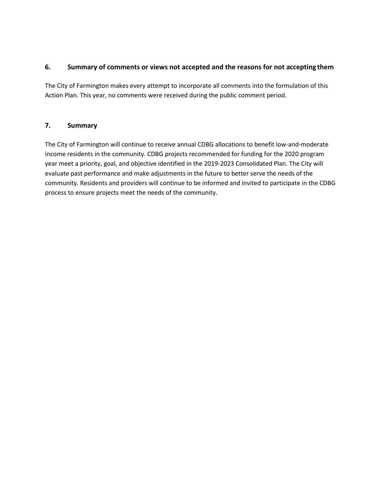#### **6. Summary of comments or views not accepted and the reasons for not accepting them**

The City of Farmington makes every attempt to incorporate all comments into the formulation of this Action Plan. This year, no comments were received during the public comment period.

#### **7. Summary**

The City of Farmington will continue to receive annual CDBG allocations to benefit low-and-moderate income residents in the community. CDBG projects recommended for funding for the 2020 program year meet a priority, goal, and objective identified in the 2019-2023 Consolidated Plan. The City will evaluate past performance and make adjustments in the future to better serve the needs of the community. Residents and providers will continue to be informed and invited to participate in the CDBG process to ensure projects meet the needs of the community.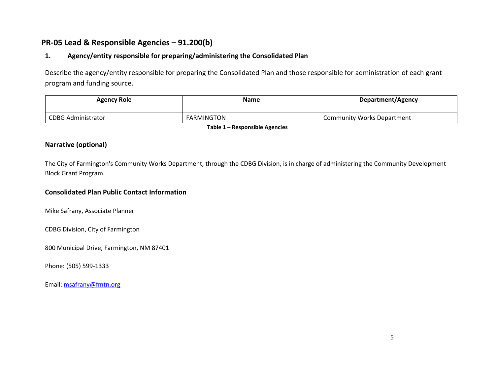# **PR-05 Lead & Responsible Agencies – 91.200(b)**

#### **1. Agency/entity responsible for preparing/administering the Consolidated Plan**

Describe the agency/entity responsible for preparing the Consolidated Plan and those responsible for administration of each grant program and funding source.

|                   | Department/Agency                 |
|-------------------|-----------------------------------|
|                   |                                   |
| <b>FARMINGTON</b> | <b>Community Works Department</b> |
|                   | .<br>_ _ _ _ _                    |

**Table 1 – Responsible Agencies**

#### **Narrative (optional)**

The City of Farmington's Community Works Department, through the CDBG Division, is in charge of administering the Community Development Block Grant Program.

#### **Consolidated Plan Public Contact Information**

Mike Safrany, Associate Planner

CDBG Division, City of Farmington

800 Municipal Drive, Farmington, NM 87401

Phone: (505) 599-1333

Email: [msafrany@fmtn.org](mailto:msafrany@fmtn.org)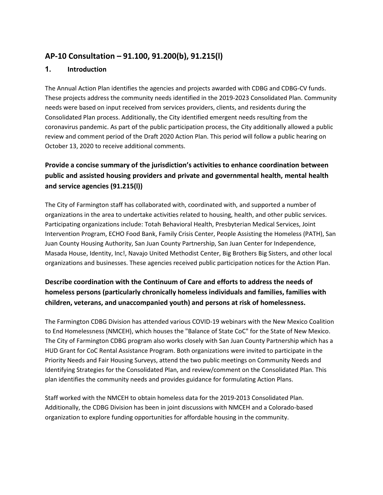# **AP-10 Consultation – 91.100, 91.200(b), 91.215(l)**

#### **1. Introduction**

The Annual Action Plan identifies the agencies and projects awarded with CDBG and CDBG-CV funds. These projects address the community needs identified in the 2019-2023 Consolidated Plan. Community needs were based on input received from services providers, clients, and residents during the Consolidated Plan process. Additionally, the City identified emergent needs resulting from the coronavirus pandemic. As part of the public participation process, the City additionally allowed a public review and comment period of the Draft 2020 Action Plan. This period will follow a public hearing on October 13, 2020 to receive additional comments.

# **Provide a concise summary of the jurisdiction's activities to enhance coordination between public and assisted housing providers and private and governmental health, mental health and service agencies (91.215(l))**

The City of Farmington staff has collaborated with, coordinated with, and supported a number of organizations in the area to undertake activities related to housing, health, and other public services. Participating organizations include: Totah Behavioral Health, Presbyterian Medical Services, Joint Intervention Program, ECHO Food Bank, Family Crisis Center, People Assisting the Homeless (PATH), San Juan County Housing Authority, San Juan County Partnership, San Juan Center for Independence, Masada House, Identity, Inc!, Navajo United Methodist Center, Big Brothers Big Sisters, and other local organizations and businesses. These agencies received public participation notices for the Action Plan.

# **Describe coordination with the Continuum of Care and efforts to address the needs of homeless persons (particularly chronically homeless individuals and families, families with children, veterans, and unaccompanied youth) and persons at risk of homelessness.**

The Farmington CDBG Division has attended various COVID-19 webinars with the New Mexico Coalition to End Homelessness (NMCEH), which houses the "Balance of State CoC" for the State of New Mexico. The City of Farmington CDBG program also works closely with San Juan County Partnership which has a HUD Grant for CoC Rental Assistance Program. Both organizations were invited to participate in the Priority Needs and Fair Housing Surveys, attend the two public meetings on Community Needs and Identifying Strategies for the Consolidated Plan, and review/comment on the Consolidated Plan. This plan identifies the community needs and provides guidance for formulating Action Plans.

Staff worked with the NMCEH to obtain homeless data for the 2019-2013 Consolidated Plan. Additionally, the CDBG Division has been in joint discussions with NMCEH and a Colorado-based organization to explore funding opportunities for affordable housing in the community.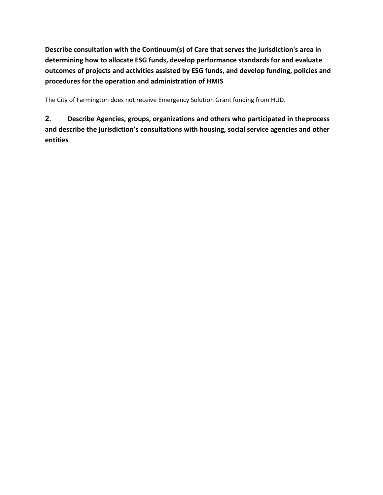**Describe consultation with the Continuum(s) of Care that serves the jurisdiction's area in determining how to allocate ESG funds, develop performance standards for and evaluate outcomes of projects and activities assisted by ESG funds, and develop funding, policies and procedures for the operation and administration of HMIS**

The City of Farmington does not receive Emergency Solution Grant funding from HUD.

**2. Describe Agencies, groups, organizations and others who participated in theprocess and describe the jurisdiction's consultations with housing, social service agencies and other entities**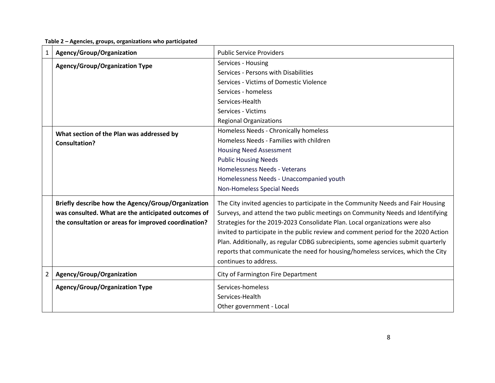**Table 2 – Agencies, groups, organizations who participated**

| 1              | Agency/Group/Organization                            | <b>Public Service Providers</b>                                                    |
|----------------|------------------------------------------------------|------------------------------------------------------------------------------------|
|                | <b>Agency/Group/Organization Type</b>                | Services - Housing                                                                 |
|                |                                                      | Services - Persons with Disabilities                                               |
|                |                                                      | Services - Victims of Domestic Violence                                            |
|                |                                                      | Services - homeless                                                                |
|                |                                                      | Services-Health                                                                    |
|                |                                                      | Services - Victims                                                                 |
|                |                                                      | <b>Regional Organizations</b>                                                      |
|                | What section of the Plan was addressed by            | Homeless Needs - Chronically homeless                                              |
|                | <b>Consultation?</b>                                 | Homeless Needs - Families with children                                            |
|                |                                                      | <b>Housing Need Assessment</b>                                                     |
|                |                                                      | <b>Public Housing Needs</b>                                                        |
|                |                                                      | Homelessness Needs - Veterans                                                      |
|                |                                                      | Homelessness Needs - Unaccompanied youth                                           |
|                |                                                      | Non-Homeless Special Needs                                                         |
|                | Briefly describe how the Agency/Group/Organization   | The City invited agencies to participate in the Community Needs and Fair Housing   |
|                | was consulted. What are the anticipated outcomes of  | Surveys, and attend the two public meetings on Community Needs and Identifying     |
|                | the consultation or areas for improved coordination? | Strategies for the 2019-2023 Consolidate Plan. Local organizations were also       |
|                |                                                      | invited to participate in the public review and comment period for the 2020 Action |
|                |                                                      | Plan. Additionally, as regular CDBG subrecipients, some agencies submit quarterly  |
|                |                                                      | reports that communicate the need for housing/homeless services, which the City    |
|                |                                                      | continues to address.                                                              |
| $\overline{2}$ | Agency/Group/Organization                            | City of Farmington Fire Department                                                 |
|                |                                                      |                                                                                    |
|                | <b>Agency/Group/Organization Type</b>                | Services-homeless                                                                  |
|                |                                                      | Services-Health                                                                    |
|                |                                                      | Other government - Local                                                           |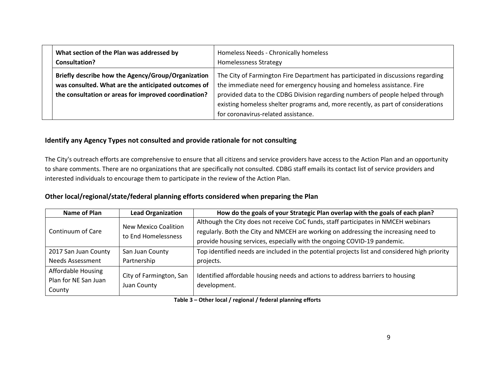| What section of the Plan was addressed by<br>Consultation?                                                                                                        | Homeless Needs - Chronically homeless<br><b>Homelessness Strategy</b>                                                                                                                                                                                                                                                                                                  |
|-------------------------------------------------------------------------------------------------------------------------------------------------------------------|------------------------------------------------------------------------------------------------------------------------------------------------------------------------------------------------------------------------------------------------------------------------------------------------------------------------------------------------------------------------|
| Briefly describe how the Agency/Group/Organization<br>was consulted. What are the anticipated outcomes of<br>the consultation or areas for improved coordination? | The City of Farmington Fire Department has participated in discussions regarding<br>the immediate need for emergency housing and homeless assistance. Fire<br>provided data to the CDBG Division regarding numbers of people helped through<br>existing homeless shelter programs and, more recently, as part of considerations<br>for coronavirus-related assistance. |

#### **Identify any Agency Types not consulted and provide rationale for not consulting**

The City's outreach efforts are comprehensive to ensure that all citizens and service providers have access to the Action Plan and an opportunity to share comments. There are no organizations that are specifically not consulted. CDBG staff emails its contact list of service providers and interested individuals to encourage them to participate in the review of the Action Plan.

#### **Other local/regional/state/federal planning efforts considered when preparing the Plan**

| Name of Plan                                         | <b>Lead Organization</b>                    | How do the goals of your Strategic Plan overlap with the goals of each plan?                                                                                              |
|------------------------------------------------------|---------------------------------------------|---------------------------------------------------------------------------------------------------------------------------------------------------------------------------|
| Continuum of Care                                    | New Mexico Coalition<br>to End Homelessness | Although the City does not receive CoC funds, staff participates in NMCEH webinars<br>regularly. Both the City and NMCEH are working on addressing the increasing need to |
|                                                      |                                             | provide housing services, especially with the ongoing COVID-19 pandemic.                                                                                                  |
| 2017 San Juan County                                 | San Juan County                             | Top identified needs are included in the potential projects list and considered high priority                                                                             |
| <b>Needs Assessment</b>                              | Partnership                                 | projects.                                                                                                                                                                 |
| Affordable Housing<br>Plan for NE San Juan<br>County | City of Farmington, San<br>Juan County      | Identified affordable housing needs and actions to address barriers to housing<br>development.                                                                            |

#### **Table 3 – Other local / regional / federal planning efforts**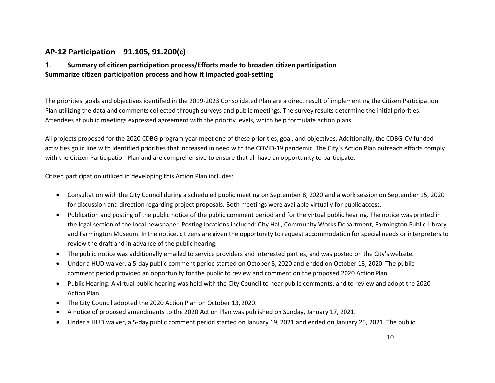# **AP-12 Participation – 91.105, 91.200(c)**

#### **1. Summary of citizen participation process/Efforts made to broaden citizenparticipation Summarize citizen participation process and how it impacted goal-setting**

The priorities, goals and objectives identified in the 2019-2023 Consolidated Plan are a direct result of implementing the Citizen Participation Plan utilizing the data and comments collected through surveys and public meetings. The survey results determine the initial priorities. Attendees at public meetings expressed agreement with the priority levels, which help formulate action plans.

All projects proposed for the 2020 CDBG program year meet one of these priorities, goal, and objectives. Additionally, the CDBG-CV funded activities go in line with identified priorities that increased in need with the COVID-19 pandemic. The City's Action Plan outreach efforts comply with the Citizen Participation Plan and are comprehensive to ensure that all have an opportunity to participate.

Citizen participation utilized in developing this Action Plan includes:

- Consultation with the City Council during a scheduled public meeting on September 8, 2020 and a work session on September 15, 2020 for discussion and direction regarding project proposals. Both meetings were available virtually for public access.
- Publication and posting of the public notice of the public comment period and for the virtual public hearing. The notice was printed in the legal section of the local newspaper. Posting locations included: City Hall, Community Works Department, Farmington Public Library and Farmington Museum. In the notice, citizens are given the opportunity to request accommodation forspecial needs or interpreters to review the draft and in advance of the public hearing.
- The public notice was additionally emailed to service providers and interested parties, and was posted on the City'swebsite.
- Under a HUD waiver, a 5-day public comment period started on October 8, 2020 and ended on October 13, 2020. The public comment period provided an opportunity for the public to review and comment on the proposed 2020 ActionPlan.
- Public Hearing: A virtual public hearing was held with the City Council to hear public comments, and to review and adopt the 2020 Action Plan.
- The City Council adopted the 2020 Action Plan on October 13,2020.
- A notice of proposed amendments to the 2020 Action Plan was published on Sunday, January 17, 2021.
- Under a HUD waiver, a 5-day public comment period started on January 19, 2021 and ended on January 25, 2021. The public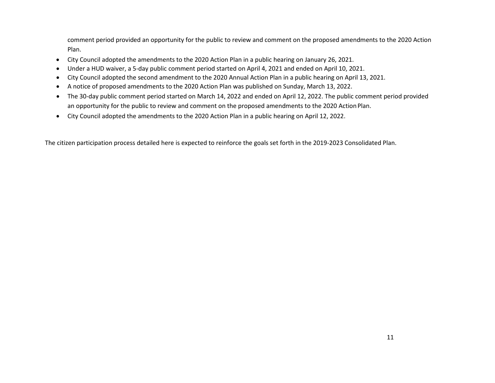comment period provided an opportunity for the public to review and comment on the proposed amendments to the 2020 Action Plan.

- City Council adopted the amendments to the 2020 Action Plan in a public hearing on January 26, 2021.
- Under a HUD waiver, a 5-day public comment period started on April 4, 2021 and ended on April 10, 2021.
- City Council adopted the second amendment to the 2020 Annual Action Plan in a public hearing on April 13, 2021.
- A notice of proposed amendments to the 2020 Action Plan was published on Sunday, March 13, 2022.
- The 30-day public comment period started on March 14, 2022 and ended on April 12, 2022. The public comment period provided an opportunity for the public to review and comment on the proposed amendments to the 2020 ActionPlan.
- City Council adopted the amendments to the 2020 Action Plan in a public hearing on April 12, 2022.

The citizen participation process detailed here is expected to reinforce the goals set forth in the 2019-2023 Consolidated Plan.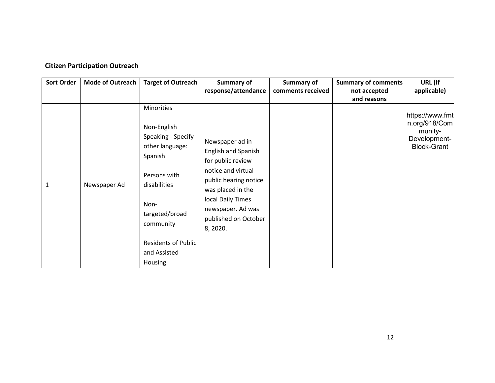#### **Citizen Participation Outreach**

| <b>Sort Order</b> | <b>Mode of Outreach</b> | <b>Target of Outreach</b>                                                                                                                                                                                     | Summary of                                                                                                                                                                                                           | Summary of        | <b>Summary of comments</b> | URL (If                                                                           |
|-------------------|-------------------------|---------------------------------------------------------------------------------------------------------------------------------------------------------------------------------------------------------------|----------------------------------------------------------------------------------------------------------------------------------------------------------------------------------------------------------------------|-------------------|----------------------------|-----------------------------------------------------------------------------------|
|                   |                         |                                                                                                                                                                                                               | response/attendance                                                                                                                                                                                                  | comments received | not accepted               | applicable)                                                                       |
|                   |                         |                                                                                                                                                                                                               |                                                                                                                                                                                                                      |                   | and reasons                |                                                                                   |
| 1                 | Newspaper Ad            | Minorities<br>Non-English<br>Speaking - Specify<br>other language:<br>Spanish<br>Persons with<br>disabilities<br>Non-<br>targeted/broad<br>community<br><b>Residents of Public</b><br>and Assisted<br>Housing | Newspaper ad in<br><b>English and Spanish</b><br>for public review<br>notice and virtual<br>public hearing notice<br>was placed in the<br>local Daily Times<br>newspaper. Ad was<br>published on October<br>8, 2020. |                   |                            | https://www.fmt<br>n.org/918/Com<br>munity-<br>Development-<br><b>Block-Grant</b> |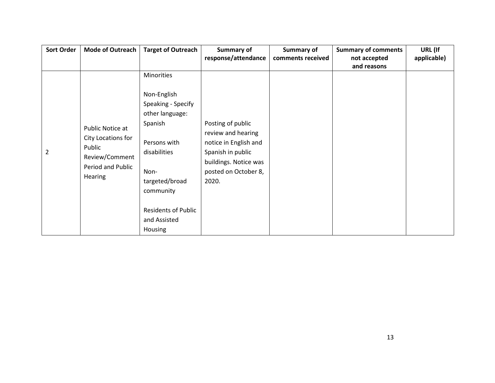| <b>Sort Order</b> | <b>Mode of Outreach</b>             | <b>Target of Outreach</b>  | Summary of            | Summary of        | <b>Summary of comments</b> | URL (If     |
|-------------------|-------------------------------------|----------------------------|-----------------------|-------------------|----------------------------|-------------|
|                   |                                     |                            | response/attendance   | comments received | not accepted               | applicable) |
|                   |                                     |                            |                       |                   | and reasons                |             |
|                   |                                     | Minorities                 |                       |                   |                            |             |
|                   |                                     | Non-English                |                       |                   |                            |             |
|                   |                                     | Speaking - Specify         |                       |                   |                            |             |
|                   |                                     | other language:            |                       |                   |                            |             |
|                   |                                     | Spanish                    | Posting of public     |                   |                            |             |
|                   | Public Notice at                    |                            | review and hearing    |                   |                            |             |
|                   | City Locations for                  | Persons with               | notice in English and |                   |                            |             |
| $\overline{2}$    | Public                              | disabilities               | Spanish in public     |                   |                            |             |
|                   | Review/Comment<br>Period and Public |                            | buildings. Notice was |                   |                            |             |
|                   |                                     | Non-                       | posted on October 8,  |                   |                            |             |
|                   | Hearing                             | targeted/broad             | 2020.                 |                   |                            |             |
|                   |                                     | community                  |                       |                   |                            |             |
|                   |                                     |                            |                       |                   |                            |             |
|                   |                                     | <b>Residents of Public</b> |                       |                   |                            |             |
|                   |                                     | and Assisted               |                       |                   |                            |             |
|                   |                                     | Housing                    |                       |                   |                            |             |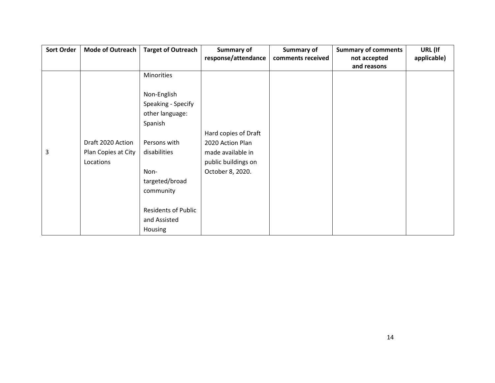| <b>Sort Order</b> | <b>Mode of Outreach</b> | <b>Target of Outreach</b>  | Summary of           | Summary of        | <b>Summary of comments</b> | URL (If     |
|-------------------|-------------------------|----------------------------|----------------------|-------------------|----------------------------|-------------|
|                   |                         |                            | response/attendance  | comments received | not accepted               | applicable) |
|                   |                         |                            |                      |                   | and reasons                |             |
|                   |                         | Minorities                 |                      |                   |                            |             |
|                   |                         |                            |                      |                   |                            |             |
|                   |                         | Non-English                |                      |                   |                            |             |
|                   |                         | Speaking - Specify         |                      |                   |                            |             |
|                   |                         | other language:            |                      |                   |                            |             |
|                   |                         | Spanish                    |                      |                   |                            |             |
|                   |                         |                            | Hard copies of Draft |                   |                            |             |
|                   | Draft 2020 Action       | Persons with               | 2020 Action Plan     |                   |                            |             |
| 3                 | Plan Copies at City     | disabilities               | made available in    |                   |                            |             |
|                   | Locations               |                            | public buildings on  |                   |                            |             |
|                   |                         | Non-                       | October 8, 2020.     |                   |                            |             |
|                   |                         | targeted/broad             |                      |                   |                            |             |
|                   |                         | community                  |                      |                   |                            |             |
|                   |                         |                            |                      |                   |                            |             |
|                   |                         | <b>Residents of Public</b> |                      |                   |                            |             |
|                   |                         | and Assisted               |                      |                   |                            |             |
|                   |                         | Housing                    |                      |                   |                            |             |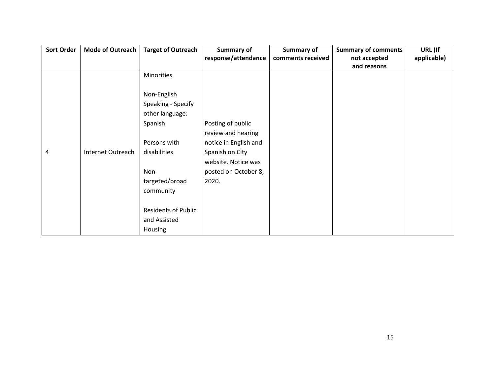| <b>Sort Order</b> | <b>Mode of Outreach</b>  | <b>Target of Outreach</b>  | Summary of            | Summary of        | <b>Summary of comments</b> | URL (If     |
|-------------------|--------------------------|----------------------------|-----------------------|-------------------|----------------------------|-------------|
|                   |                          |                            | response/attendance   | comments received | not accepted               | applicable) |
|                   |                          |                            |                       |                   | and reasons                |             |
|                   |                          | Minorities                 |                       |                   |                            |             |
|                   |                          |                            |                       |                   |                            |             |
|                   |                          | Non-English                |                       |                   |                            |             |
|                   |                          | Speaking - Specify         |                       |                   |                            |             |
|                   |                          | other language:            |                       |                   |                            |             |
|                   |                          | Spanish                    | Posting of public     |                   |                            |             |
|                   |                          |                            | review and hearing    |                   |                            |             |
|                   |                          | Persons with               | notice in English and |                   |                            |             |
| 4                 | <b>Internet Outreach</b> | disabilities               | Spanish on City       |                   |                            |             |
|                   |                          |                            | website. Notice was   |                   |                            |             |
|                   |                          | Non-                       | posted on October 8,  |                   |                            |             |
|                   |                          | targeted/broad             | 2020.                 |                   |                            |             |
|                   |                          | community                  |                       |                   |                            |             |
|                   |                          |                            |                       |                   |                            |             |
|                   |                          | <b>Residents of Public</b> |                       |                   |                            |             |
|                   |                          | and Assisted               |                       |                   |                            |             |
|                   |                          | Housing                    |                       |                   |                            |             |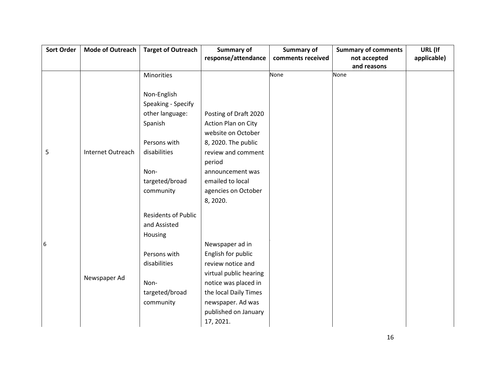| <b>Mode of Outreach</b> | <b>Target of Outreach</b>  | <b>Summary of</b>                                                  | Summary of                                   | <b>Summary of comments</b> | URL (If             |
|-------------------------|----------------------------|--------------------------------------------------------------------|----------------------------------------------|----------------------------|---------------------|
|                         |                            |                                                                    | comments received                            | not accepted               | applicable)         |
|                         |                            |                                                                    |                                              |                            |                     |
|                         |                            |                                                                    |                                              |                            |                     |
|                         |                            |                                                                    |                                              |                            |                     |
|                         |                            |                                                                    |                                              |                            |                     |
|                         |                            |                                                                    |                                              |                            |                     |
|                         |                            |                                                                    |                                              |                            |                     |
|                         | Spanish                    | Action Plan on City                                                |                                              |                            |                     |
|                         |                            | website on October                                                 |                                              |                            |                     |
|                         | Persons with               | 8, 2020. The public                                                |                                              |                            |                     |
| Internet Outreach       | disabilities               | review and comment                                                 |                                              |                            |                     |
|                         |                            | period                                                             |                                              |                            |                     |
|                         | Non-                       | announcement was                                                   |                                              |                            |                     |
|                         | targeted/broad             | emailed to local                                                   |                                              |                            |                     |
|                         | community                  | agencies on October                                                |                                              |                            |                     |
|                         |                            | 8, 2020.                                                           |                                              |                            |                     |
|                         | <b>Residents of Public</b> |                                                                    |                                              |                            |                     |
|                         | and Assisted               |                                                                    |                                              |                            |                     |
|                         | Housing                    |                                                                    |                                              |                            |                     |
|                         |                            | Newspaper ad in                                                    |                                              |                            |                     |
|                         | Persons with               | English for public                                                 |                                              |                            |                     |
|                         | disabilities               | review notice and                                                  |                                              |                            |                     |
|                         |                            | virtual public hearing                                             |                                              |                            |                     |
|                         | Non-                       | notice was placed in                                               |                                              |                            |                     |
|                         | targeted/broad             | the local Daily Times                                              |                                              |                            |                     |
|                         | community                  | newspaper. Ad was                                                  |                                              |                            |                     |
|                         |                            | published on January                                               |                                              |                            |                     |
|                         |                            | 17, 2021.                                                          |                                              |                            |                     |
|                         | Newspaper Ad               | Minorities<br>Non-English<br>Speaking - Specify<br>other language: | response/attendance<br>Posting of Draft 2020 | <b>None</b>                | and reasons<br>None |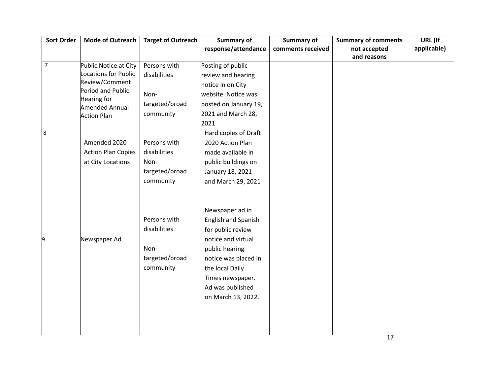| <b>Sort Order</b> | <b>Mode of Outreach</b>             | <b>Target of Outreach</b> | <b>Summary of</b>     | <b>Summary of</b> | <b>Summary of comments</b> | URL (If     |
|-------------------|-------------------------------------|---------------------------|-----------------------|-------------------|----------------------------|-------------|
|                   |                                     |                           | response/attendance   | comments received | not accepted               | applicable) |
|                   |                                     |                           |                       |                   | and reasons                |             |
| $\overline{7}$    | Public Notice at City               | Persons with              | Posting of public     |                   |                            |             |
|                   | <b>Locations for Public</b>         | disabilities              | review and hearing    |                   |                            |             |
|                   | Review/Comment<br>Period and Public |                           | notice in on City     |                   |                            |             |
|                   | <b>Hearing for</b>                  | Non-                      | website. Notice was   |                   |                            |             |
|                   | <b>Amended Annual</b>               | targeted/broad            | posted on January 19, |                   |                            |             |
|                   | <b>Action Plan</b>                  | community                 | 2021 and March 28,    |                   |                            |             |
|                   |                                     |                           | 2021                  |                   |                            |             |
| $\boldsymbol{8}$  |                                     |                           | Hard copies of Draft  |                   |                            |             |
|                   | Amended 2020                        | Persons with              | 2020 Action Plan      |                   |                            |             |
|                   | <b>Action Plan Copies</b>           | disabilities              | made available in     |                   |                            |             |
|                   | at City Locations                   | Non-                      | public buildings on   |                   |                            |             |
|                   |                                     | targeted/broad            | January 18, 2021      |                   |                            |             |
|                   |                                     | community                 | and March 29, 2021    |                   |                            |             |
|                   |                                     |                           |                       |                   |                            |             |
|                   |                                     |                           |                       |                   |                            |             |
|                   |                                     |                           | Newspaper ad in       |                   |                            |             |
|                   |                                     | Persons with              | English and Spanish   |                   |                            |             |
|                   |                                     | disabilities              | for public review     |                   |                            |             |
| 9                 | Newspaper Ad                        |                           | notice and virtual    |                   |                            |             |
|                   |                                     | Non-                      | public hearing        |                   |                            |             |
|                   |                                     | targeted/broad            | notice was placed in  |                   |                            |             |
|                   |                                     | community                 | the local Daily       |                   |                            |             |
|                   |                                     |                           |                       |                   |                            |             |
|                   |                                     |                           | Times newspaper.      |                   |                            |             |
|                   |                                     |                           | Ad was published      |                   |                            |             |
|                   |                                     |                           | on March 13, 2022.    |                   |                            |             |
|                   |                                     |                           |                       |                   |                            |             |
|                   |                                     |                           |                       |                   |                            |             |
|                   |                                     |                           |                       |                   |                            |             |
|                   |                                     |                           |                       |                   | 17                         |             |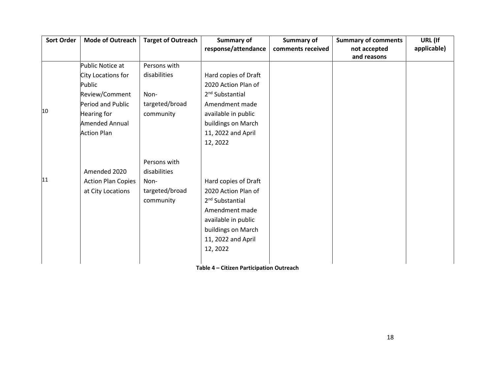| <b>Sort Order</b> | <b>Mode of Outreach</b>   | <b>Target of Outreach</b> | Summary of                  | <b>Summary of</b> | <b>Summary of comments</b>  | URL (If     |
|-------------------|---------------------------|---------------------------|-----------------------------|-------------------|-----------------------------|-------------|
|                   |                           |                           | response/attendance         | comments received | not accepted<br>and reasons | applicable) |
|                   | Public Notice at          | Persons with              |                             |                   |                             |             |
|                   | City Locations for        | disabilities              | Hard copies of Draft        |                   |                             |             |
|                   | Public                    |                           | 2020 Action Plan of         |                   |                             |             |
|                   | Review/Comment            | Non-                      | 2 <sup>nd</sup> Substantial |                   |                             |             |
|                   | Period and Public         | targeted/broad            | Amendment made              |                   |                             |             |
| 10                | Hearing for               | community                 | available in public         |                   |                             |             |
|                   | <b>Amended Annual</b>     |                           | buildings on March          |                   |                             |             |
|                   | <b>Action Plan</b>        |                           | 11, 2022 and April          |                   |                             |             |
|                   |                           |                           | 12, 2022                    |                   |                             |             |
|                   |                           | Persons with              |                             |                   |                             |             |
|                   | Amended 2020              | disabilities              |                             |                   |                             |             |
| 11                | <b>Action Plan Copies</b> | Non-                      | Hard copies of Draft        |                   |                             |             |
|                   | at City Locations         | targeted/broad            | 2020 Action Plan of         |                   |                             |             |
|                   |                           | community                 | 2 <sup>nd</sup> Substantial |                   |                             |             |
|                   |                           |                           | Amendment made              |                   |                             |             |
|                   |                           |                           | available in public         |                   |                             |             |
|                   |                           |                           | buildings on March          |                   |                             |             |
|                   |                           |                           | 11, 2022 and April          |                   |                             |             |
|                   |                           |                           | 12, 2022                    |                   |                             |             |
|                   |                           |                           |                             |                   |                             |             |

**Table 4 – Citizen Participation Outreach**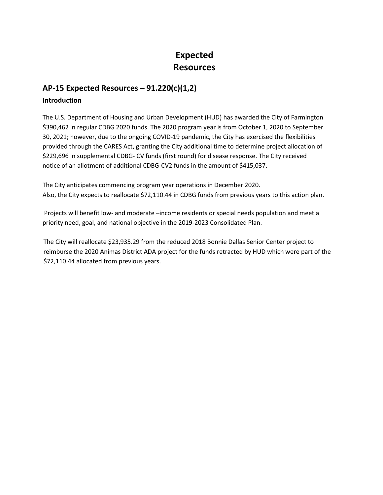# **Expected Resources**

#### **AP-15 Expected Resources – 91.220(c)(1,2)**

#### **Introduction**

The U.S. Department of Housing and Urban Development (HUD) has awarded the City of Farmington \$390,462 in regular CDBG 2020 funds. The 2020 program year is from October 1, 2020 to September 30, 2021; however, due to the ongoing COVID-19 pandemic, the City has exercised the flexibilities provided through the CARES Act, granting the City additional time to determine project allocation of \$229,696 in supplemental CDBG- CV funds (first round) for disease response. The City received notice of an allotment of additional CDBG-CV2 funds in the amount of \$415,037.

The City anticipates commencing program year operations in December 2020. Also, the City expects to reallocate \$72,110.44 in CDBG funds from previous years to this action plan.

Projects will benefit low- and moderate –income residents or special needs population and meet a priority need, goal, and national objective in the 2019-2023 Consolidated Plan.

 The City will reallocate \$23,935.29 from the reduced 2018 Bonnie Dallas Senior Center project to reimburse the 2020 Animas District ADA project for the funds retracted by HUD which were part of the \$72,110.44 allocated from previous years.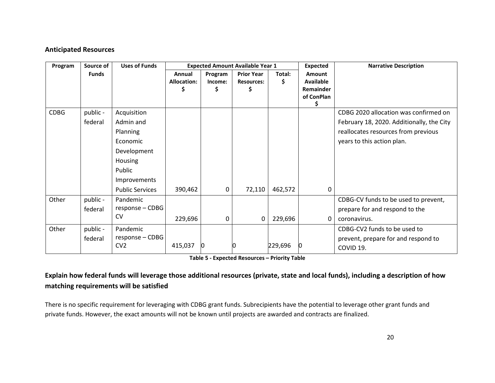#### **Anticipated Resources**

| Program     | Source of    | <b>Uses of Funds</b>   |                    |         | <b>Expected Amount Available Year 1</b> |         | <b>Expected</b>  | <b>Narrative Description</b>              |
|-------------|--------------|------------------------|--------------------|---------|-----------------------------------------|---------|------------------|-------------------------------------------|
|             | <b>Funds</b> |                        | Annual             | Program | <b>Prior Year</b>                       | Total:  | Amount           |                                           |
|             |              |                        | <b>Allocation:</b> | Income: | <b>Resources:</b>                       | S.      | Available        |                                           |
|             |              |                        |                    |         |                                         |         | <b>Remainder</b> |                                           |
|             |              |                        |                    |         |                                         |         | of ConPlan       |                                           |
| <b>CDBG</b> | public -     | Acquisition            |                    |         |                                         |         |                  | CDBG 2020 allocation was confirmed on     |
|             | federal      | Admin and              |                    |         |                                         |         |                  | February 18, 2020. Additionally, the City |
|             |              | Planning               |                    |         |                                         |         |                  | reallocates resources from previous       |
|             |              | Economic               |                    |         |                                         |         |                  | years to this action plan.                |
|             |              | Development            |                    |         |                                         |         |                  |                                           |
|             |              | Housing                |                    |         |                                         |         |                  |                                           |
|             |              | Public                 |                    |         |                                         |         |                  |                                           |
|             |              | Improvements           |                    |         |                                         |         |                  |                                           |
|             |              | <b>Public Services</b> | 390,462            | 0       | 72,110                                  | 462,572 | 0                |                                           |
| Other       | public -     | Pandemic               |                    |         |                                         |         |                  | CDBG-CV funds to be used to prevent,      |
|             | federal      | $response - CDBG$      |                    |         |                                         |         |                  | prepare for and respond to the            |
|             |              | <b>CV</b>              | 229,696            | 0       | 0                                       | 229,696 | 0                | coronavirus.                              |
| Other       | public -     | Pandemic               |                    |         |                                         |         |                  | CDBG-CV2 funds to be used to              |
|             | federal      | response - CDBG        |                    |         |                                         |         |                  | prevent, prepare for and respond to       |
|             |              | CV <sub>2</sub>        | 415,037            |         |                                         | 229,696 |                  | COVID 19.                                 |

**Table 5 - Expected Resources – Priority Table**

# **Explain how federal funds will leverage those additional resources (private, state and local funds), including a description of how matching requirements will be satisfied**

There is no specific requirement for leveraging with CDBG grant funds. Subrecipients have the potential to leverage other grant funds and private funds. However, the exact amounts will not be known until projects are awarded and contracts are finalized.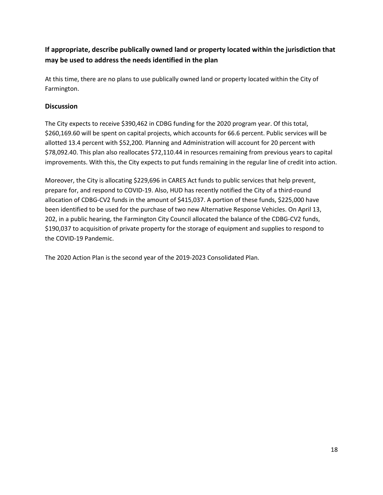# **If appropriate, describe publically owned land or property located within the jurisdiction that may be used to address the needs identified in the plan**

At this time, there are no plans to use publically owned land or property located within the City of Farmington.

#### **Discussion**

The City expects to receive \$390,462 in CDBG funding for the 2020 program year. Of this total, \$260,169.60 will be spent on capital projects, which accounts for 66.6 percent. Public services will be allotted 13.4 percent with \$52,200. Planning and Administration will account for 20 percent with \$78,092.40. This plan also reallocates \$72,110.44 in resources remaining from previous years to capital improvements. With this, the City expects to put funds remaining in the regular line of credit into action.

Moreover, the City is allocating \$229,696 in CARES Act funds to public services that help prevent, prepare for, and respond to COVID-19. Also, HUD has recently notified the City of a third-round allocation of CDBG-CV2 funds in the amount of \$415,037. A portion of these funds, \$225,000 have been identified to be used for the purchase of two new Alternative Response Vehicles. On April 13, 202, in a public hearing, the Farmington City Council allocated the balance of the CDBG-CV2 funds, \$190,037 to acquisition of private property for the storage of equipment and supplies to respond to the COVID-19 Pandemic.

The 2020 Action Plan is the second year of the 2019-2023 Consolidated Plan.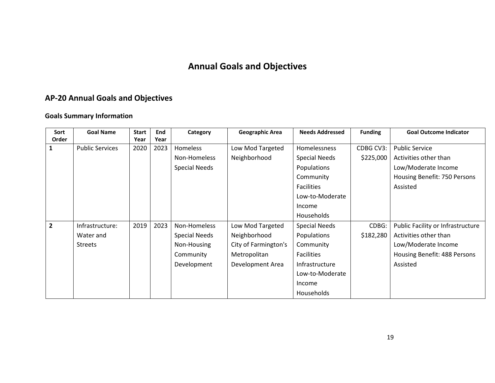# **Annual Goals and Objectives**

# **AP-20 Annual Goals and Objectives**

# **Goals Summary Information**

| Sort           | <b>Goal Name</b>       | <b>Start</b> | End  | Category             | <b>Geographic Area</b> | <b>Needs Addressed</b> | <b>Funding</b> | <b>Goal Outcome Indicator</b>     |
|----------------|------------------------|--------------|------|----------------------|------------------------|------------------------|----------------|-----------------------------------|
| Order          |                        | Year         | Year |                      |                        |                        |                |                                   |
| 1              | <b>Public Services</b> | 2020         | 2023 | Homeless             | Low Mod Targeted       | Homelessness           | CDBG CV3:      | <b>Public Service</b>             |
|                |                        |              |      | Non-Homeless         | Neighborhood           | <b>Special Needs</b>   | \$225,000      | Activities other than             |
|                |                        |              |      | <b>Special Needs</b> |                        | Populations            |                | Low/Moderate Income               |
|                |                        |              |      |                      |                        | Community              |                | Housing Benefit: 750 Persons      |
|                |                        |              |      |                      |                        | <b>Facilities</b>      |                | Assisted                          |
|                |                        |              |      |                      |                        | Low-to-Moderate        |                |                                   |
|                |                        |              |      |                      |                        | Income                 |                |                                   |
|                |                        |              |      |                      |                        | Households             |                |                                   |
| $\overline{2}$ | Infrastructure:        | 2019         | 2023 | Non-Homeless         | Low Mod Targeted       | <b>Special Needs</b>   | CDBG:          | Public Facility or Infrastructure |
|                | Water and              |              |      | <b>Special Needs</b> | Neighborhood           | Populations            | \$182,280      | Activities other than             |
|                | <b>Streets</b>         |              |      | Non-Housing          | City of Farmington's   | Community              |                | Low/Moderate Income               |
|                |                        |              |      | Community            | Metropolitan           | Facilities             |                | Housing Benefit: 488 Persons      |
|                |                        |              |      | Development          | Development Area       | Infrastructure         |                | Assisted                          |
|                |                        |              |      |                      |                        | Low-to-Moderate        |                |                                   |
|                |                        |              |      |                      |                        | Income                 |                |                                   |
|                |                        |              |      |                      |                        | Households             |                |                                   |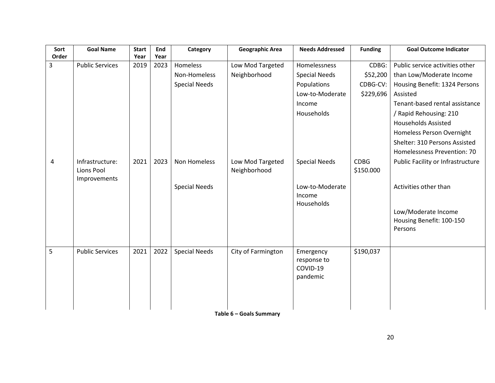|                               | <b>Start</b> | End  | Category             | <b>Geographic Area</b>               | <b>Needs Addressed</b>                           | <b>Funding</b>                     | <b>Goal Outcome Indicator</b>                              |
|-------------------------------|--------------|------|----------------------|--------------------------------------|--------------------------------------------------|------------------------------------|------------------------------------------------------------|
| <b>Public Services</b>        | 2019         | 2023 | Homeless             | Low Mod Targeted                     | Homelessness                                     | CDBG:                              | Public service activities other                            |
|                               |              |      |                      |                                      |                                                  |                                    | than Low/Moderate Income                                   |
|                               |              |      |                      |                                      | Populations                                      |                                    | Housing Benefit: 1324 Persons                              |
|                               |              |      |                      |                                      | Low-to-Moderate                                  | \$229,696                          | Assisted                                                   |
|                               |              |      |                      |                                      | Income                                           |                                    | Tenant-based rental assistance                             |
|                               |              |      |                      |                                      | Households                                       |                                    | / Rapid Rehousing: 210                                     |
|                               |              |      |                      |                                      |                                                  |                                    | <b>Households Assisted</b>                                 |
|                               |              |      |                      |                                      |                                                  |                                    | Homeless Person Overnight                                  |
|                               |              |      |                      |                                      |                                                  |                                    | Shelter: 310 Persons Assisted                              |
|                               |              |      |                      |                                      |                                                  |                                    | Homelessness Prevention: 70                                |
| Infrastructure:<br>Lions Pool | 2021         | 2023 | Non Homeless         | Low Mod Targeted<br>Neighborhood     | <b>Special Needs</b>                             | <b>CDBG</b><br>\$150.000           | Public Facility or Infrastructure                          |
|                               |              |      | <b>Special Needs</b> |                                      | Low-to-Moderate<br>Income                        |                                    | Activities other than                                      |
|                               |              |      |                      |                                      |                                                  |                                    | Low/Moderate Income<br>Housing Benefit: 100-150<br>Persons |
|                               |              |      |                      |                                      |                                                  |                                    |                                                            |
| <b>Public Services</b>        | 2021         | 2022 | <b>Special Needs</b> | City of Farmington                   | Emergency<br>response to<br>COVID-19<br>pandemic | \$190,037                          |                                                            |
|                               | Improvements | Year | Year                 | Non-Homeless<br><b>Special Needs</b> | Neighborhood                                     | <b>Special Needs</b><br>Households | \$52,200<br>CDBG-CV:                                       |

**Table 6 – Goals Summary**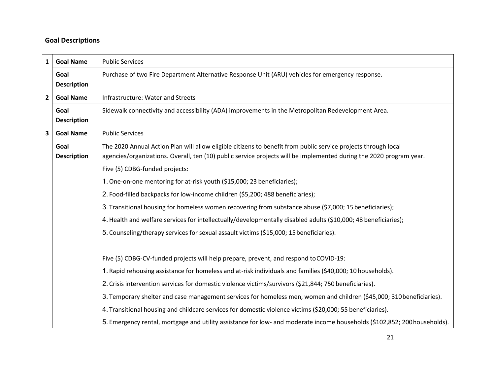#### **Goal Descriptions**

| $\mathbf{1}$   | <b>Goal Name</b>           | <b>Public Services</b>                                                                                                                                                                                                                |
|----------------|----------------------------|---------------------------------------------------------------------------------------------------------------------------------------------------------------------------------------------------------------------------------------|
|                | Goal<br><b>Description</b> | Purchase of two Fire Department Alternative Response Unit (ARU) vehicles for emergency response.                                                                                                                                      |
| $\overline{2}$ | <b>Goal Name</b>           | Infrastructure: Water and Streets                                                                                                                                                                                                     |
|                | Goal<br><b>Description</b> | Sidewalk connectivity and accessibility (ADA) improvements in the Metropolitan Redevelopment Area.                                                                                                                                    |
| 3              | <b>Goal Name</b>           | <b>Public Services</b>                                                                                                                                                                                                                |
|                | Goal<br><b>Description</b> | The 2020 Annual Action Plan will allow eligible citizens to benefit from public service projects through local<br>agencies/organizations. Overall, ten (10) public service projects will be implemented during the 2020 program year. |
|                |                            | Five (5) CDBG-funded projects:                                                                                                                                                                                                        |
|                |                            | 1. One-on-one mentoring for at-risk youth (\$15,000; 23 beneficiaries);                                                                                                                                                               |
|                |                            | 2. Food-filled backpacks for low-income children (\$5,200; 488 beneficiaries);                                                                                                                                                        |
|                |                            | 3. Transitional housing for homeless women recovering from substance abuse (\$7,000; 15 beneficiaries);                                                                                                                               |
|                |                            | 4. Health and welfare services for intellectually/developmentally disabled adults (\$10,000; 48 beneficiaries);                                                                                                                       |
|                |                            | 5. Counseling/therapy services for sexual assault victims (\$15,000; 15 beneficiaries).                                                                                                                                               |
|                |                            | Five (5) CDBG-CV-funded projects will help prepare, prevent, and respond to COVID-19:                                                                                                                                                 |
|                |                            | 1. Rapid rehousing assistance for homeless and at-risk individuals and families (\$40,000; 10 households).                                                                                                                            |
|                |                            | 2. Crisis intervention services for domestic violence victims/survivors (\$21,844; 750 beneficiaries).                                                                                                                                |
|                |                            | 3. Temporary shelter and case management services for homeless men, women and children (\$45,000; 310 beneficiaries).                                                                                                                 |
|                |                            | 4. Transitional housing and childcare services for domestic violence victims (\$20,000; 55 beneficiaries).                                                                                                                            |
|                |                            | 5. Emergency rental, mortgage and utility assistance for low- and moderate income households (\$102,852; 200 households).                                                                                                             |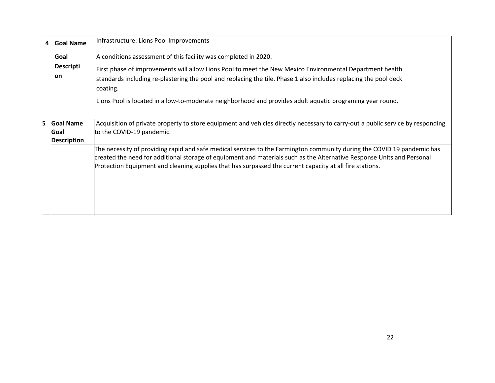| $\overline{4}$ | <b>Goal Name</b>                               | Infrastructure: Lions Pool Improvements                                                                                                                                                                                                                                                                                                                                                                                  |
|----------------|------------------------------------------------|--------------------------------------------------------------------------------------------------------------------------------------------------------------------------------------------------------------------------------------------------------------------------------------------------------------------------------------------------------------------------------------------------------------------------|
|                | Goal<br><b>Descripti</b><br><b>on</b>          | A conditions assessment of this facility was completed in 2020.<br>First phase of improvements will allow Lions Pool to meet the New Mexico Environmental Department health<br>standards including re-plastering the pool and replacing the tile. Phase 1 also includes replacing the pool deck<br>coating.<br>Lions Pool is located in a low-to-moderate neighborhood and provides adult aquatic programing year round. |
| 5              | <b>Goal Name</b><br>Goal<br><b>Description</b> | Acquisition of private property to store equipment and vehicles directly necessary to carry-out a public service by responding<br>to the COVID-19 pandemic.                                                                                                                                                                                                                                                              |
|                |                                                | The necessity of providing rapid and safe medical services to the Farmington community during the COVID 19 pandemic has<br>created the need for additional storage of equipment and materials such as the Alternative Response Units and Personal<br>Protection Equipment and cleaning supplies that has surpassed the current capacity at all fire stations.                                                            |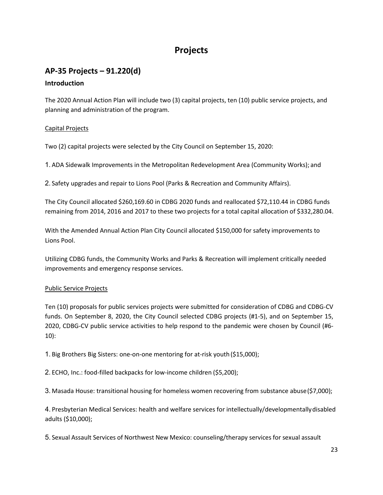# **Projects**

# **AP-35 Projects – 91.220(d)**

#### **Introduction**

The 2020 Annual Action Plan will include two (3) capital projects, ten (10) public service projects, and planning and administration of the program.

#### Capital Projects

Two (2) capital projects were selected by the City Council on September 15, 2020:

1. ADA Sidewalk Improvements in the Metropolitan Redevelopment Area (Community Works); and

2. Safety upgrades and repair to Lions Pool (Parks & Recreation and Community Affairs).

The City Council allocated \$260,169.60 in CDBG 2020 funds and reallocated \$72,110.44 in CDBG funds remaining from 2014, 2016 and 2017 to these two projects for a total capital allocation of \$332,280.04.

With the Amended Annual Action Plan City Council allocated \$150,000 for safety improvements to Lions Pool.

Utilizing CDBG funds, the Community Works and Parks & Recreation will implement critically needed improvements and emergency response services.

#### Public Service Projects

Ten (10) proposals for public services projects were submitted for consideration of CDBG and CDBG-CV funds. On September 8, 2020, the City Council selected CDBG projects (#1-5), and on September 15, 2020, CDBG-CV public service activities to help respond to the pandemic were chosen by Council (#6- 10):

1. Big Brothers Big Sisters: one-on-one mentoring for at-risk youth(\$15,000);

2. ECHO, Inc.: food-filled backpacks for low-income children (\$5,200);

3. Masada House: transitional housing for homeless women recovering from substance abuse(\$7,000);

4. Presbyterian Medical Services: health and welfare services for intellectually/developmentallydisabled adults (\$10,000);

5. Sexual Assault Services of Northwest New Mexico: counseling/therapy services for sexual assault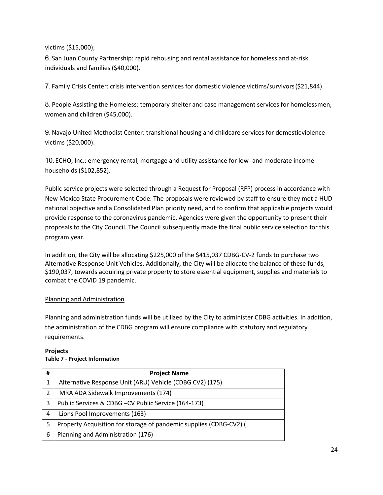victims (\$15,000);

6. San Juan County Partnership: rapid rehousing and rental assistance for homeless and at-risk individuals and families (\$40,000).

7. Family Crisis Center: crisis intervention services for domestic violence victims/survivors(\$21,844).

8. People Assisting the Homeless: temporary shelter and case management services for homelessmen, women and children (\$45,000).

9.Navajo United Methodist Center: transitional housing and childcare services for domesticviolence victims (\$20,000).

10.ECHO, Inc.: emergency rental, mortgage and utility assistance for low- and moderate income households (\$102,852).

Public service projects were selected through a Request for Proposal (RFP) process in accordance with New Mexico State Procurement Code. The proposals were reviewed by staff to ensure they met a HUD national objective and a Consolidated Plan priority need, and to confirm that applicable projects would provide response to the coronavirus pandemic. Agencies were given the opportunity to present their proposals to the City Council. The Council subsequently made the final public service selection for this program year.

In addition, the City will be allocating \$225,000 of the \$415,037 CDBG-CV-2 funds to purchase two Alternative Response Unit Vehicles. Additionally, the City will be allocate the balance of these funds, \$190,037, towards acquiring private property to store essential equipment, supplies and materials to combat the COVID 19 pandemic.

#### Planning and Administration

Planning and administration funds will be utilized by the City to administer CDBG activities. In addition, the administration of the CDBG program will ensure compliance with statutory and regulatory requirements.

#### **Projects Table 7 - Project Information**

| # | <b>Project Name</b>                                                |
|---|--------------------------------------------------------------------|
| 1 | Alternative Response Unit (ARU) Vehicle (CDBG CV2) (175)           |
| 2 | MRA ADA Sidewalk Improvements (174)                                |
| 3 | Public Services & CDBG-CV Public Service (164-173)                 |
| 4 | Lions Pool Improvements (163)                                      |
| 5 | Property Acquisition for storage of pandemic supplies (CDBG-CV2) ( |
| 6 | Planning and Administration (176)                                  |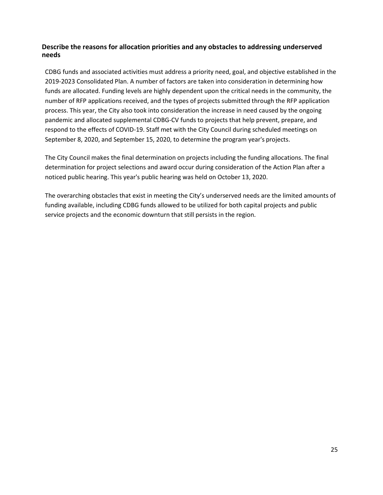#### **Describe the reasons for allocation priorities and any obstacles to addressing underserved needs**

CDBG funds and associated activities must address a priority need, goal, and objective established in the 2019-2023 Consolidated Plan. A number of factors are taken into consideration in determining how funds are allocated. Funding levels are highly dependent upon the critical needs in the community, the number of RFP applications received, and the types of projects submitted through the RFP application process. This year, the City also took into consideration the increase in need caused by the ongoing pandemic and allocated supplemental CDBG-CV funds to projects that help prevent, prepare, and respond to the effects of COVID-19. Staff met with the City Council during scheduled meetings on September 8, 2020, and September 15, 2020, to determine the program year's projects.

The City Council makes the final determination on projects including the funding allocations. The final determination for project selections and award occur during consideration of the Action Plan after a noticed public hearing. This year's public hearing was held on October 13, 2020.

The overarching obstacles that exist in meeting the City's underserved needs are the limited amounts of funding available, including CDBG funds allowed to be utilized for both capital projects and public service projects and the economic downturn that still persists in the region.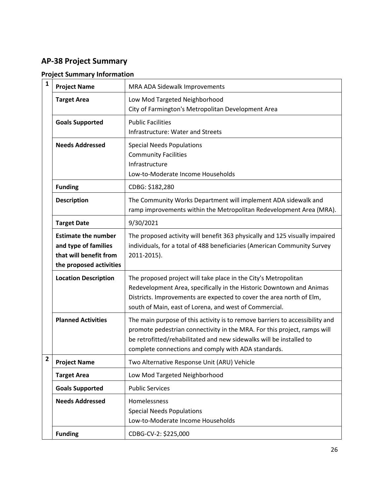# **AP-38 Project Summary**

| $\mathbf{1}$   | <b>Project Name</b>                                                                                     | MRA ADA Sidewalk Improvements                                                                                                                                                                                                                                                          |
|----------------|---------------------------------------------------------------------------------------------------------|----------------------------------------------------------------------------------------------------------------------------------------------------------------------------------------------------------------------------------------------------------------------------------------|
|                | <b>Target Area</b>                                                                                      | Low Mod Targeted Neighborhood<br>City of Farmington's Metropolitan Development Area                                                                                                                                                                                                    |
|                | <b>Goals Supported</b>                                                                                  | <b>Public Facilities</b><br>Infrastructure: Water and Streets                                                                                                                                                                                                                          |
|                | <b>Needs Addressed</b>                                                                                  | <b>Special Needs Populations</b><br><b>Community Facilities</b><br>Infrastructure<br>Low-to-Moderate Income Households                                                                                                                                                                 |
|                | <b>Funding</b>                                                                                          | CDBG: \$182,280                                                                                                                                                                                                                                                                        |
|                | <b>Description</b>                                                                                      | The Community Works Department will implement ADA sidewalk and<br>ramp improvements within the Metropolitan Redevelopment Area (MRA).                                                                                                                                                  |
|                | <b>Target Date</b>                                                                                      | 9/30/2021                                                                                                                                                                                                                                                                              |
|                | <b>Estimate the number</b><br>and type of families<br>that will benefit from<br>the proposed activities | The proposed activity will benefit 363 physically and 125 visually impaired<br>individuals, for a total of 488 beneficiaries (American Community Survey<br>2011-2015).                                                                                                                 |
|                | <b>Location Description</b>                                                                             | The proposed project will take place in the City's Metropolitan<br>Redevelopment Area, specifically in the Historic Downtown and Animas<br>Districts. Improvements are expected to cover the area north of Elm,<br>south of Main, east of Lorena, and west of Commercial.              |
|                | <b>Planned Activities</b>                                                                               | The main purpose of this activity is to remove barriers to accessibility and<br>promote pedestrian connectivity in the MRA. For this project, ramps will<br>be retrofitted/rehabilitated and new sidewalks will be installed to<br>complete connections and comply with ADA standards. |
| $\overline{2}$ | <b>Project Name</b>                                                                                     | Two Alternative Response Unit (ARU) Vehicle                                                                                                                                                                                                                                            |
|                | <b>Target Area</b>                                                                                      | Low Mod Targeted Neighborhood                                                                                                                                                                                                                                                          |
|                | <b>Goals Supported</b>                                                                                  | <b>Public Services</b>                                                                                                                                                                                                                                                                 |
|                | <b>Needs Addressed</b>                                                                                  | Homelessness<br><b>Special Needs Populations</b><br>Low-to-Moderate Income Households                                                                                                                                                                                                  |
|                | <b>Funding</b>                                                                                          | CDBG-CV-2: \$225,000                                                                                                                                                                                                                                                                   |

#### **Project Summary Information**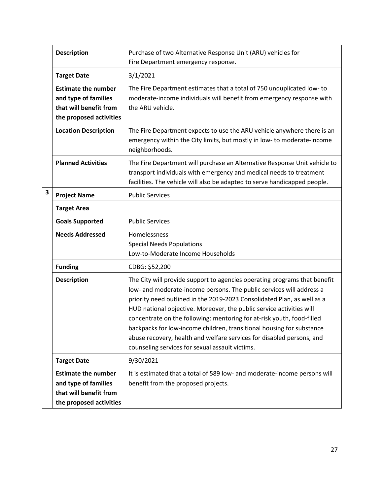|   | <b>Description</b>                                                                                      | Purchase of two Alternative Response Unit (ARU) vehicles for<br>Fire Department emergency response.                                                                                                                                                                                                                                                                                                                                                                                                                                                                                 |
|---|---------------------------------------------------------------------------------------------------------|-------------------------------------------------------------------------------------------------------------------------------------------------------------------------------------------------------------------------------------------------------------------------------------------------------------------------------------------------------------------------------------------------------------------------------------------------------------------------------------------------------------------------------------------------------------------------------------|
|   | <b>Target Date</b>                                                                                      | 3/1/2021                                                                                                                                                                                                                                                                                                                                                                                                                                                                                                                                                                            |
|   | <b>Estimate the number</b><br>and type of families<br>that will benefit from<br>the proposed activities | The Fire Department estimates that a total of 750 unduplicated low- to<br>moderate-income individuals will benefit from emergency response with<br>the ARU vehicle.                                                                                                                                                                                                                                                                                                                                                                                                                 |
|   | <b>Location Description</b>                                                                             | The Fire Department expects to use the ARU vehicle anywhere there is an<br>emergency within the City limits, but mostly in low- to moderate-income<br>neighborhoods.                                                                                                                                                                                                                                                                                                                                                                                                                |
|   | <b>Planned Activities</b>                                                                               | The Fire Department will purchase an Alternative Response Unit vehicle to<br>transport individuals with emergency and medical needs to treatment<br>facilities. The vehicle will also be adapted to serve handicapped people.                                                                                                                                                                                                                                                                                                                                                       |
| 3 | <b>Project Name</b>                                                                                     | <b>Public Services</b>                                                                                                                                                                                                                                                                                                                                                                                                                                                                                                                                                              |
|   | <b>Target Area</b>                                                                                      |                                                                                                                                                                                                                                                                                                                                                                                                                                                                                                                                                                                     |
|   | <b>Goals Supported</b>                                                                                  | <b>Public Services</b>                                                                                                                                                                                                                                                                                                                                                                                                                                                                                                                                                              |
|   | <b>Needs Addressed</b>                                                                                  | Homelessness<br><b>Special Needs Populations</b><br>Low-to-Moderate Income Households                                                                                                                                                                                                                                                                                                                                                                                                                                                                                               |
|   | <b>Funding</b>                                                                                          | CDBG: \$52,200                                                                                                                                                                                                                                                                                                                                                                                                                                                                                                                                                                      |
|   | <b>Description</b>                                                                                      | The City will provide support to agencies operating programs that benefit<br>low- and moderate-income persons. The public services will address a<br>priority need outlined in the 2019-2023 Consolidated Plan, as well as a<br>HUD national objective. Moreover, the public service activities will<br>concentrate on the following: mentoring for at-risk youth, food-filled<br>backpacks for low-income children, transitional housing for substance<br>abuse recovery, health and welfare services for disabled persons, and<br>counseling services for sexual assault victims. |
|   | <b>Target Date</b>                                                                                      | 9/30/2021                                                                                                                                                                                                                                                                                                                                                                                                                                                                                                                                                                           |
|   | <b>Estimate the number</b><br>and type of families<br>that will benefit from<br>the proposed activities | It is estimated that a total of 589 low- and moderate-income persons will<br>benefit from the proposed projects.                                                                                                                                                                                                                                                                                                                                                                                                                                                                    |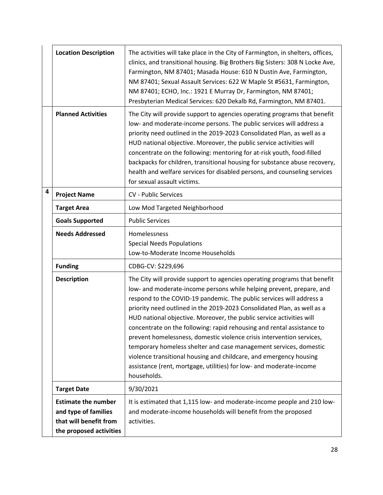|   | <b>Location Description</b>                                                                             | The activities will take place in the City of Farmington, in shelters, offices,<br>clinics, and transitional housing. Big Brothers Big Sisters: 308 N Locke Ave,<br>Farmington, NM 87401; Masada House: 610 N Dustin Ave, Farmington,<br>NM 87401; Sexual Assault Services: 622 W Maple St #5631, Farmington,<br>NM 87401; ECHO, Inc.: 1921 E Murray Dr, Farmington, NM 87401;<br>Presbyterian Medical Services: 620 Dekalb Rd, Farmington, NM 87401.                                                                                                                                                                                                                                                                                                            |
|---|---------------------------------------------------------------------------------------------------------|------------------------------------------------------------------------------------------------------------------------------------------------------------------------------------------------------------------------------------------------------------------------------------------------------------------------------------------------------------------------------------------------------------------------------------------------------------------------------------------------------------------------------------------------------------------------------------------------------------------------------------------------------------------------------------------------------------------------------------------------------------------|
|   | <b>Planned Activities</b>                                                                               | The City will provide support to agencies operating programs that benefit<br>low- and moderate-income persons. The public services will address a<br>priority need outlined in the 2019-2023 Consolidated Plan, as well as a<br>HUD national objective. Moreover, the public service activities will<br>concentrate on the following: mentoring for at-risk youth, food-filled<br>backpacks for children, transitional housing for substance abuse recovery,<br>health and welfare services for disabled persons, and counseling services<br>for sexual assault victims.                                                                                                                                                                                         |
| 4 | <b>Project Name</b>                                                                                     | <b>CV - Public Services</b>                                                                                                                                                                                                                                                                                                                                                                                                                                                                                                                                                                                                                                                                                                                                      |
|   | <b>Target Area</b>                                                                                      | Low Mod Targeted Neighborhood                                                                                                                                                                                                                                                                                                                                                                                                                                                                                                                                                                                                                                                                                                                                    |
|   | <b>Goals Supported</b>                                                                                  | <b>Public Services</b>                                                                                                                                                                                                                                                                                                                                                                                                                                                                                                                                                                                                                                                                                                                                           |
|   | <b>Needs Addressed</b>                                                                                  | Homelessness<br><b>Special Needs Populations</b><br>Low-to-Moderate Income Households                                                                                                                                                                                                                                                                                                                                                                                                                                                                                                                                                                                                                                                                            |
|   | <b>Funding</b>                                                                                          | CDBG-CV: \$229,696                                                                                                                                                                                                                                                                                                                                                                                                                                                                                                                                                                                                                                                                                                                                               |
|   | <b>Description</b>                                                                                      | The City will provide support to agencies operating programs that benefit<br>low- and moderate-income persons while helping prevent, prepare, and<br>respond to the COVID-19 pandemic. The public services will address a<br>priority need outlined in the 2019-2023 Consolidated Plan, as well as a<br>HUD national objective. Moreover, the public service activities will<br>concentrate on the following: rapid rehousing and rental assistance to<br>prevent homelessness, domestic violence crisis intervention services,<br>temporary homeless shelter and case management services, domestic<br>violence transitional housing and childcare, and emergency housing<br>assistance (rent, mortgage, utilities) for low- and moderate-income<br>households. |
|   | <b>Target Date</b>                                                                                      | 9/30/2021                                                                                                                                                                                                                                                                                                                                                                                                                                                                                                                                                                                                                                                                                                                                                        |
|   | <b>Estimate the number</b><br>and type of families<br>that will benefit from<br>the proposed activities | It is estimated that 1,115 low- and moderate-income people and 210 low-<br>and moderate-income households will benefit from the proposed<br>activities.                                                                                                                                                                                                                                                                                                                                                                                                                                                                                                                                                                                                          |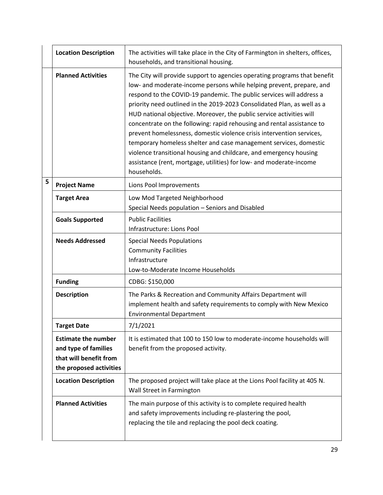|   | <b>Location Description</b>                                                                             | The activities will take place in the City of Farmington in shelters, offices,<br>households, and transitional housing.                                                                                                                                                                                                                                                                                                                                                                                                                                                                                                                                                                                                                                          |
|---|---------------------------------------------------------------------------------------------------------|------------------------------------------------------------------------------------------------------------------------------------------------------------------------------------------------------------------------------------------------------------------------------------------------------------------------------------------------------------------------------------------------------------------------------------------------------------------------------------------------------------------------------------------------------------------------------------------------------------------------------------------------------------------------------------------------------------------------------------------------------------------|
|   | <b>Planned Activities</b>                                                                               | The City will provide support to agencies operating programs that benefit<br>low- and moderate-income persons while helping prevent, prepare, and<br>respond to the COVID-19 pandemic. The public services will address a<br>priority need outlined in the 2019-2023 Consolidated Plan, as well as a<br>HUD national objective. Moreover, the public service activities will<br>concentrate on the following: rapid rehousing and rental assistance to<br>prevent homelessness, domestic violence crisis intervention services,<br>temporary homeless shelter and case management services, domestic<br>violence transitional housing and childcare, and emergency housing<br>assistance (rent, mortgage, utilities) for low- and moderate-income<br>households. |
| 5 | <b>Project Name</b>                                                                                     | Lions Pool Improvements                                                                                                                                                                                                                                                                                                                                                                                                                                                                                                                                                                                                                                                                                                                                          |
|   | <b>Target Area</b>                                                                                      | Low Mod Targeted Neighborhood<br>Special Needs population - Seniors and Disabled                                                                                                                                                                                                                                                                                                                                                                                                                                                                                                                                                                                                                                                                                 |
|   | <b>Goals Supported</b>                                                                                  | <b>Public Facilities</b><br>Infrastructure: Lions Pool                                                                                                                                                                                                                                                                                                                                                                                                                                                                                                                                                                                                                                                                                                           |
|   | <b>Needs Addressed</b>                                                                                  | <b>Special Needs Populations</b><br><b>Community Facilities</b><br>Infrastructure<br>Low-to-Moderate Income Households                                                                                                                                                                                                                                                                                                                                                                                                                                                                                                                                                                                                                                           |
|   | <b>Funding</b>                                                                                          | CDBG: \$150,000                                                                                                                                                                                                                                                                                                                                                                                                                                                                                                                                                                                                                                                                                                                                                  |
|   | <b>Description</b>                                                                                      | The Parks & Recreation and Community Affairs Department will<br>implement health and safety requirements to comply with New Mexico<br><b>Environmental Department</b>                                                                                                                                                                                                                                                                                                                                                                                                                                                                                                                                                                                            |
|   | Target Date                                                                                             | 7/1/2021                                                                                                                                                                                                                                                                                                                                                                                                                                                                                                                                                                                                                                                                                                                                                         |
|   | <b>Estimate the number</b><br>and type of families<br>that will benefit from<br>the proposed activities | It is estimated that 100 to 150 low to moderate-income households will<br>benefit from the proposed activity.                                                                                                                                                                                                                                                                                                                                                                                                                                                                                                                                                                                                                                                    |
|   | <b>Location Description</b>                                                                             | The proposed project will take place at the Lions Pool facility at 405 N.<br>Wall Street in Farmington                                                                                                                                                                                                                                                                                                                                                                                                                                                                                                                                                                                                                                                           |
|   | <b>Planned Activities</b>                                                                               | The main purpose of this activity is to complete required health<br>and safety improvements including re-plastering the pool,<br>replacing the tile and replacing the pool deck coating.                                                                                                                                                                                                                                                                                                                                                                                                                                                                                                                                                                         |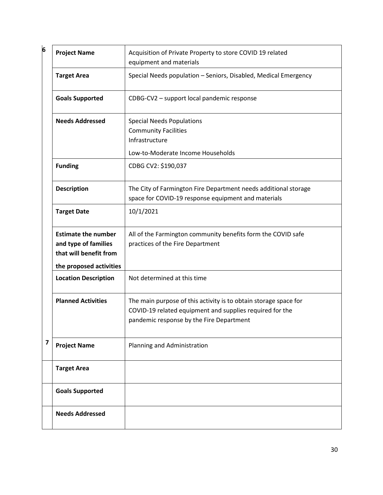| 6                       | <b>Project Name</b>                                                                                     | Acquisition of Private Property to store COVID 19 related<br>equipment and materials                                                                                     |
|-------------------------|---------------------------------------------------------------------------------------------------------|--------------------------------------------------------------------------------------------------------------------------------------------------------------------------|
|                         | <b>Target Area</b>                                                                                      | Special Needs population - Seniors, Disabled, Medical Emergency                                                                                                          |
|                         | <b>Goals Supported</b>                                                                                  | CDBG-CV2 - support local pandemic response                                                                                                                               |
|                         | <b>Needs Addressed</b>                                                                                  | <b>Special Needs Populations</b><br><b>Community Facilities</b><br>Infrastructure<br>Low-to-Moderate Income Households                                                   |
|                         | <b>Funding</b>                                                                                          | CDBG CV2: \$190,037                                                                                                                                                      |
|                         | <b>Description</b>                                                                                      | The City of Farmington Fire Department needs additional storage<br>space for COVID-19 response equipment and materials                                                   |
|                         | <b>Target Date</b>                                                                                      | 10/1/2021                                                                                                                                                                |
|                         | <b>Estimate the number</b><br>and type of families<br>that will benefit from<br>the proposed activities | All of the Farmington community benefits form the COVID safe<br>practices of the Fire Department                                                                         |
|                         | <b>Location Description</b>                                                                             | Not determined at this time                                                                                                                                              |
|                         | <b>Planned Activities</b>                                                                               | The main purpose of this activity is to obtain storage space for<br>COVID-19 related equipment and supplies required for the<br>pandemic response by the Fire Department |
| $\overline{\mathbf{z}}$ | <b>Project Name</b>                                                                                     | Planning and Administration                                                                                                                                              |
|                         | <b>Target Area</b>                                                                                      |                                                                                                                                                                          |
|                         | <b>Goals Supported</b>                                                                                  |                                                                                                                                                                          |
|                         | <b>Needs Addressed</b>                                                                                  |                                                                                                                                                                          |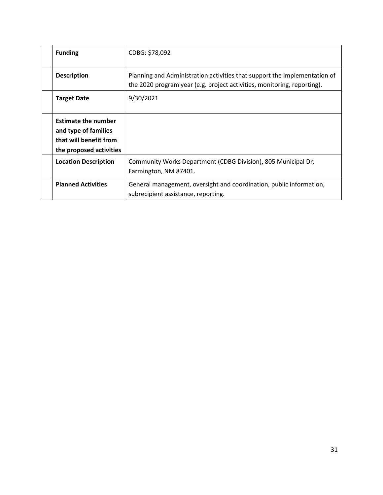| <b>Funding</b>                                                                                          | CDBG: \$78,092                                                                                                                                       |
|---------------------------------------------------------------------------------------------------------|------------------------------------------------------------------------------------------------------------------------------------------------------|
| <b>Description</b>                                                                                      | Planning and Administration activities that support the implementation of<br>the 2020 program year (e.g. project activities, monitoring, reporting). |
| <b>Target Date</b>                                                                                      | 9/30/2021                                                                                                                                            |
| <b>Estimate the number</b><br>and type of families<br>that will benefit from<br>the proposed activities |                                                                                                                                                      |
| <b>Location Description</b>                                                                             | Community Works Department (CDBG Division), 805 Municipal Dr,<br>Farmington, NM 87401.                                                               |
| <b>Planned Activities</b>                                                                               | General management, oversight and coordination, public information,<br>subrecipient assistance, reporting.                                           |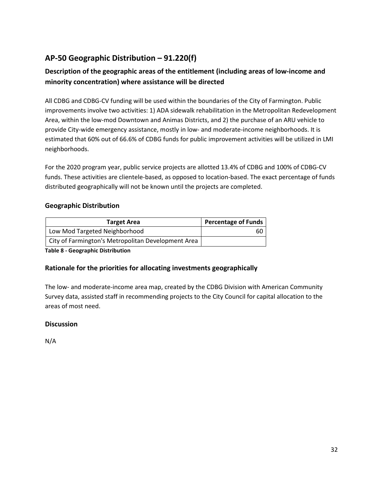# **AP-50 Geographic Distribution – 91.220(f)**

# **Description of the geographic areas of the entitlement (including areas of low-income and minority concentration) where assistance will be directed**

All CDBG and CDBG-CV funding will be used within the boundaries of the City of Farmington. Public improvements involve two activities: 1) ADA sidewalk rehabilitation in the Metropolitan Redevelopment Area, within the low-mod Downtown and Animas Districts, and 2) the purchase of an ARU vehicle to provide City-wide emergency assistance, mostly in low- and moderate-income neighborhoods. It is estimated that 60% out of 66.6% of CDBG funds for public improvement activities will be utilized in LMI neighborhoods.

For the 2020 program year, public service projects are allotted 13.4% of CDBG and 100% of CDBG-CV funds. These activities are clientele-based, as opposed to location-based. The exact percentage of funds distributed geographically will not be known until the projects are completed.

#### **Geographic Distribution**

| <b>Target Area</b>                                 | <b>Percentage of Funds</b> |
|----------------------------------------------------|----------------------------|
| Low Mod Targeted Neighborhood                      | 60                         |
| City of Farmington's Metropolitan Development Area |                            |

**Table 8 - Geographic Distribution**

#### **Rationale for the priorities for allocating investments geographically**

The low- and moderate-income area map, created by the CDBG Division with American Community Survey data, assisted staff in recommending projects to the City Council for capital allocation to the areas of most need.

#### **Discussion**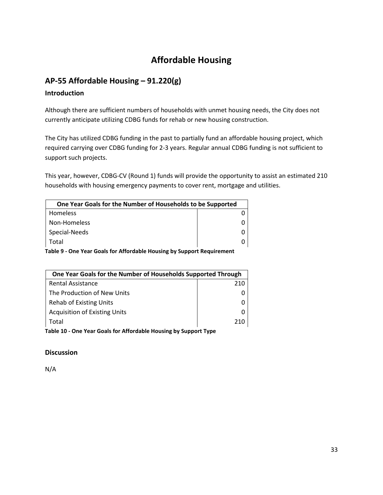# **Affordable Housing**

## **AP-55 Affordable Housing – 91.220(g)**

#### **Introduction**

Although there are sufficient numbers of households with unmet housing needs, the City does not currently anticipate utilizing CDBG funds for rehab or new housing construction.

The City has utilized CDBG funding in the past to partially fund an affordable housing project, which required carrying over CDBG funding for 2-3 years. Regular annual CDBG funding is not sufficient to support such projects.

This year, however, CDBG-CV (Round 1) funds will provide the opportunity to assist an estimated 210 households with housing emergency payments to cover rent, mortgage and utilities.

| One Year Goals for the Number of Households to be Supported           |  |  |
|-----------------------------------------------------------------------|--|--|
| Homeless                                                              |  |  |
| Non-Homeless                                                          |  |  |
| Special-Needs                                                         |  |  |
| Total                                                                 |  |  |
| Table Q. One Vear Goals for Affordable Housing by Sunnert Pequirement |  |  |

**Table 9 - One Year Goals for Affordable Housing by Support Requirement**

| One Year Goals for the Number of Households Supported Through |     |  |
|---------------------------------------------------------------|-----|--|
| <b>Rental Assistance</b>                                      | 210 |  |
| The Production of New Units                                   |     |  |
| Rehab of Existing Units                                       |     |  |
| <b>Acquisition of Existing Units</b>                          |     |  |
| Total                                                         | 210 |  |
|                                                               |     |  |

**Table 10 - One Year Goals for Affordable Housing by Support Type**

#### **Discussion**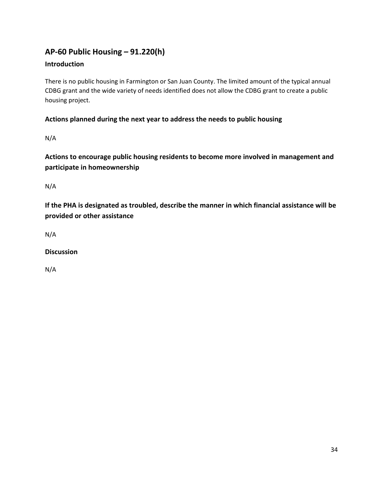# **AP-60 Public Housing** *–* **91.220(h)**

#### **Introduction**

There is no public housing in Farmington or San Juan County. The limited amount of the typical annual CDBG grant and the wide variety of needs identified does not allow the CDBG grant to create a public housing project.

#### **Actions planned during the next year to address the needs to public housing**

N/A

**Actions to encourage public housing residents to become more involved in management and participate in homeownership**

N/A

**If the PHA is designated as troubled, describe the manner in which financial assistance will be provided or other assistance**

N/A

#### **Discussion**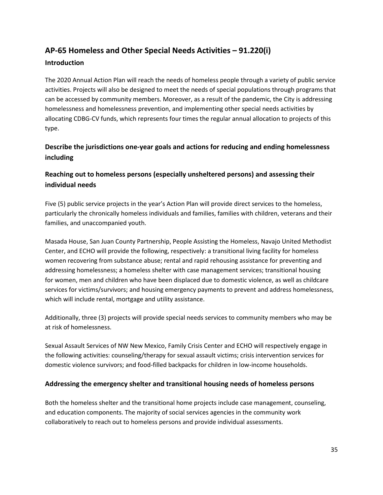# **AP-65 Homeless and Other Special Needs Activities – 91.220(i)**

#### **Introduction**

The 2020 Annual Action Plan will reach the needs of homeless people through a variety of public service activities. Projects will also be designed to meet the needs of special populations through programs that can be accessed by community members. Moreover, as a result of the pandemic, the City is addressing homelessness and homelessness prevention, and implementing other special needs activities by allocating CDBG-CV funds, which represents four times the regular annual allocation to projects of this type.

#### **Describe the jurisdictions one-year goals and actions for reducing and ending homelessness including**

#### **Reaching out to homeless persons (especially unsheltered persons) and assessing their individual needs**

Five (5) public service projects in the year's Action Plan will provide direct services to the homeless, particularly the chronically homeless individuals and families, families with children, veterans and their families, and unaccompanied youth.

Masada House, San Juan County Partnership, People Assisting the Homeless, Navajo United Methodist Center, and ECHO will provide the following, respectively: a transitional living facility for homeless women recovering from substance abuse; rental and rapid rehousing assistance for preventing and addressing homelessness; a homeless shelter with case management services; transitional housing for women, men and children who have been displaced due to domestic violence, as well as childcare services for victims/survivors; and housing emergency payments to prevent and address homelessness, which will include rental, mortgage and utility assistance.

Additionally, three (3) projects will provide special needs services to community members who may be at risk of homelessness.

Sexual Assault Services of NW New Mexico, Family Crisis Center and ECHO will respectively engage in the following activities: counseling/therapy for sexual assault victims; crisis intervention services for domestic violence survivors; and food-filled backpacks for children in low-income households.

#### **Addressing the emergency shelter and transitional housing needs of homeless persons**

Both the homeless shelter and the transitional home projects include case management, counseling, and education components. The majority of social services agencies in the community work collaboratively to reach out to homeless persons and provide individual assessments.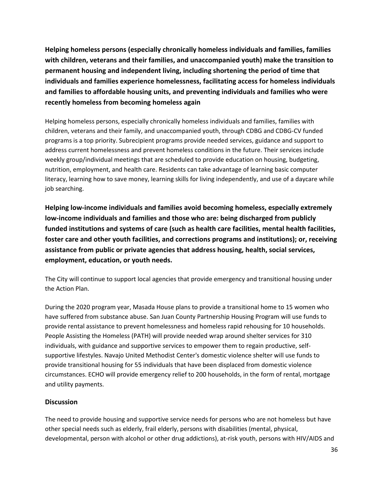**Helping homeless persons (especially chronically homeless individuals and families, families with children, veterans and their families, and unaccompanied youth) make the transition to permanent housing and independent living, including shortening the period of time that individuals and families experience homelessness, facilitating access for homeless individuals and families to affordable housing units, and preventing individuals and families who were recently homeless from becoming homeless again**

Helping homeless persons, especially chronically homeless individuals and families, families with children, veterans and their family, and unaccompanied youth, through CDBG and CDBG-CV funded programs is a top priority. Subrecipient programs provide needed services, guidance and support to address current homelessness and prevent homeless conditions in the future. Their services include weekly group/individual meetings that are scheduled to provide education on housing, budgeting, nutrition, employment, and health care. Residents can take advantage of learning basic computer literacy, learning how to save money, learning skills for living independently, and use of a daycare while job searching.

**Helping low-income individuals and families avoid becoming homeless, especially extremely low-income individuals and families and those who are: being discharged from publicly funded institutions and systems of care (such as health care facilities, mental health facilities, foster care and other youth facilities, and corrections programs and institutions); or, receiving assistance from public or private agencies that address housing, health, social services, employment, education, or youth needs.**

The City will continue to support local agencies that provide emergency and transitional housing under the Action Plan.

During the 2020 program year, Masada House plans to provide a transitional home to 15 women who have suffered from substance abuse. San Juan County Partnership Housing Program will use funds to provide rental assistance to prevent homelessness and homeless rapid rehousing for 10 households. People Assisting the Homeless (PATH) will provide needed wrap around shelter services for 310 individuals, with guidance and supportive services to empower them to regain productive, selfsupportive lifestyles. Navajo United Methodist Center's domestic violence shelter will use funds to provide transitional housing for 55 individuals that have been displaced from domestic violence circumstances. ECHO will provide emergency relief to 200 households, in the form of rental, mortgage and utility payments.

#### **Discussion**

The need to provide housing and supportive service needs for persons who are not homeless but have other special needs such as elderly, frail elderly, persons with disabilities (mental, physical, developmental, person with alcohol or other drug addictions), at-risk youth, persons with HIV/AIDS and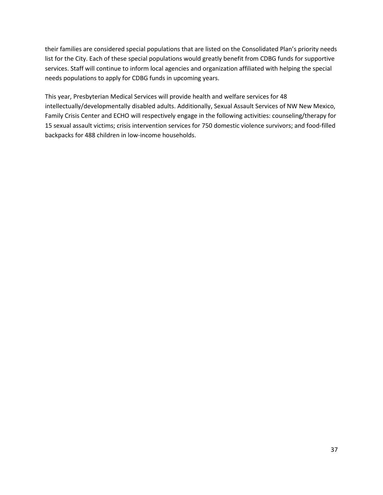their families are considered special populations that are listed on the Consolidated Plan's priority needs list for the City. Each of these special populations would greatly benefit from CDBG funds for supportive services. Staff will continue to inform local agencies and organization affiliated with helping the special needs populations to apply for CDBG funds in upcoming years.

This year, Presbyterian Medical Services will provide health and welfare services for 48 intellectually/developmentally disabled adults. Additionally, Sexual Assault Services of NW New Mexico, Family Crisis Center and ECHO will respectively engage in the following activities: counseling/therapy for 15 sexual assault victims; crisis intervention services for 750 domestic violence survivors; and food-filled backpacks for 488 children in low-income households.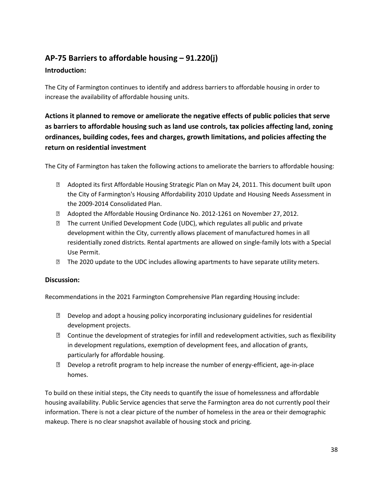# **AP-75 Barriers to affordable housing – 91.220(j)**

#### **Introduction:**

The City of Farmington continues to identify and address barriers to affordable housing in order to increase the availability of affordable housing units.

# **Actions it planned to remove or ameliorate the negative effects of public policies that serve as barriers to affordable housing such as land use controls, tax policies affecting land, zoning ordinances, building codes, fees and charges, growth limitations, and policies affecting the return on residential investment**

The City of Farmington has taken the following actions to ameliorate the barriers to affordable housing:

- Adopted its first Affordable Housing Strategic Plan on May 24, 2011. This document built upon the City of Farmington's Housing Affordability 2010 Update and Housing Needs Assessment in the 2009-2014 Consolidated Plan.
- Adopted the Affordable Housing Ordinance No. 2012-1261 on November 27, 2012.
- The current Unified Development Code (UDC), which regulates all public and private development within the City, currently allows placement of manufactured homes in all residentially zoned districts. Rental apartments are allowed on single-family lots with a Special Use Permit.
- **The 2020 update to the UDC includes allowing apartments to have separate utility meters.**

#### **Discussion:**

Recommendations in the 2021 Farmington Comprehensive Plan regarding Housing include:

- Develop and adopt a housing policy incorporating inclusionary guidelines for residential development projects.
- $\mathbb D$  Continue the development of strategies for infill and redevelopment activities, such as flexibility in development regulations, exemption of development fees, and allocation of grants, particularly for affordable housing.
- $\mathbb D$  Develop a retrofit program to help increase the number of energy-efficient, age-in-place homes.

To build on these initial steps, the City needs to quantify the issue of homelessness and affordable housing availability. Public Service agencies that serve the Farmington area do not currently pool their information. There is not a clear picture of the number of homeless in the area or their demographic makeup. There is no clear snapshot available of housing stock and pricing.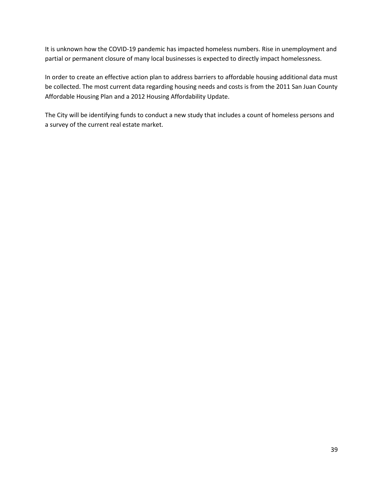It is unknown how the COVID-19 pandemic has impacted homeless numbers. Rise in unemployment and partial or permanent closure of many local businesses is expected to directly impact homelessness.

In order to create an effective action plan to address barriers to affordable housing additional data must be collected. The most current data regarding housing needs and costs is from the 2011 San Juan County Affordable Housing Plan and a 2012 Housing Affordability Update.

The City will be identifying funds to conduct a new study that includes a count of homeless persons and a survey of the current real estate market.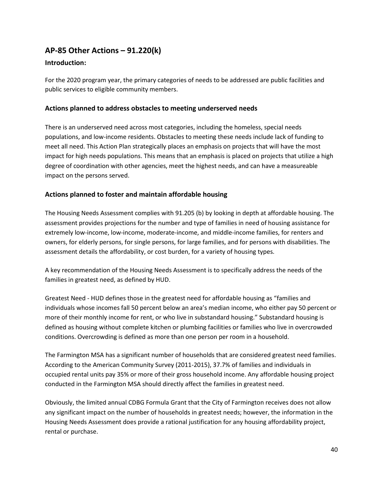# **AP-85 Other Actions – 91.220(k)**

#### **Introduction:**

For the 2020 program year, the primary categories of needs to be addressed are public facilities and public services to eligible community members.

#### **Actions planned to address obstacles to meeting underserved needs**

There is an underserved need across most categories, including the homeless, special needs populations, and low-income residents. Obstacles to meeting these needs include lack of funding to meet all need. This Action Plan strategically places an emphasis on projects that will have the most impact for high needs populations. This means that an emphasis is placed on projects that utilize a high degree of coordination with other agencies, meet the highest needs, and can have a measureable impact on the persons served.

#### **Actions planned to foster and maintain affordable housing**

The Housing Needs Assessment complies with 91.205 (b) by looking in depth at affordable housing. The assessment provides projections for the number and type of families in need of housing assistance for extremely low-income, low-income, moderate-income, and middle-income families, for renters and owners, for elderly persons, for single persons, for large families, and for persons with disabilities. The assessment details the affordability, or cost burden, for a variety of housing types.

A key recommendation of the Housing Needs Assessment is to specifically address the needs of the families in greatest need, as defined by HUD.

Greatest Need - HUD defines those in the greatest need for affordable housing as "families and individuals whose incomes fall 50 percent below an area's median income, who either pay 50 percent or more of their monthly income for rent, or who live in substandard housing." Substandard housing is defined as housing without complete kitchen or plumbing facilities or families who live in overcrowded conditions. Overcrowding is defined as more than one person per room in a household.

The Farmington MSA has a significant number of households that are considered greatest need families. According to the American Community Survey (2011-2015), 37.7% of families and individuals in occupied rental units pay 35% or more of their gross household income. Any affordable housing project conducted in the Farmington MSA should directly affect the families in greatest need.

Obviously, the limited annual CDBG Formula Grant that the City of Farmington receives does not allow any significant impact on the number of households in greatest needs; however, the information in the Housing Needs Assessment does provide a rational justification for any housing affordability project, rental or purchase.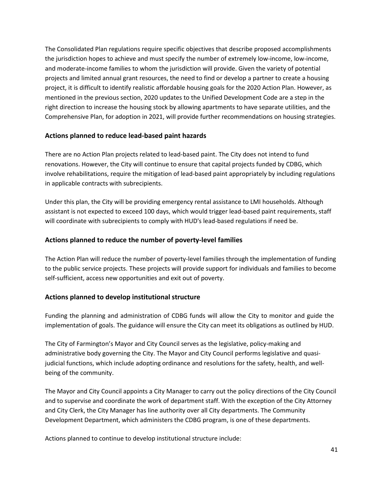The Consolidated Plan regulations require specific objectives that describe proposed accomplishments the jurisdiction hopes to achieve and must specify the number of extremely low-income, low-income, and moderate-income families to whom the jurisdiction will provide. Given the variety of potential projects and limited annual grant resources, the need to find or develop a partner to create a housing project, it is difficult to identify realistic affordable housing goals for the 2020 Action Plan. However, as mentioned in the previous section, 2020 updates to the Unified Development Code are a step in the right direction to increase the housing stock by allowing apartments to have separate utilities, and the Comprehensive Plan, for adoption in 2021, will provide further recommendations on housing strategies.

#### **Actions planned to reduce lead-based paint hazards**

There are no Action Plan projects related to lead-based paint. The City does not intend to fund renovations. However, the City will continue to ensure that capital projects funded by CDBG, which involve rehabilitations, require the mitigation of lead-based paint appropriately by including regulations in applicable contracts with subrecipients.

Under this plan, the City will be providing emergency rental assistance to LMI households. Although assistant is not expected to exceed 100 days, which would trigger lead-based paint requirements, staff will coordinate with subrecipients to comply with HUD's lead-based regulations if need be.

#### **Actions planned to reduce the number of poverty-level families**

The Action Plan will reduce the number of poverty-level families through the implementation of funding to the public service projects. These projects will provide support for individuals and families to become self-sufficient, access new opportunities and exit out of poverty.

#### **Actions planned to develop institutional structure**

Funding the planning and administration of CDBG funds will allow the City to monitor and guide the implementation of goals. The guidance will ensure the City can meet its obligations as outlined by HUD.

The City of Farmington's Mayor and City Council serves as the legislative, policy-making and administrative body governing the City. The Mayor and City Council performs legislative and quasijudicial functions, which include adopting ordinance and resolutions for the safety, health, and wellbeing of the community.

The Mayor and City Council appoints a City Manager to carry out the policy directions of the City Council and to supervise and coordinate the work of department staff. With the exception of the City Attorney and City Clerk, the City Manager has line authority over all City departments. The Community Development Department, which administers the CDBG program, is one of these departments.

Actions planned to continue to develop institutional structure include: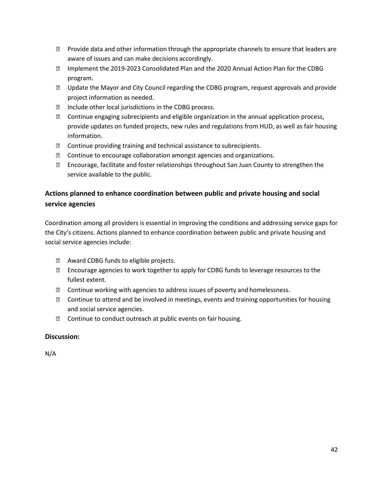- $\mathbb D$  Provide data and other information through the appropriate channels to ensure that leaders are aware of issues and can make decisions accordingly.
- Implement the 2019-2023 Consolidated Plan and the 2020 Annual Action Plan for the CDBG program.
- Update the Mayor and City Council regarding the CDBG program, request approvals and provide project information as needed.
- **Include other local jurisdictions in the CDBG process.**
- Continue engaging subrecipients and eligible organization in the annual application process, provide updates on funded projects, new rules and regulations from HUD, as well as fair housing information.
- Continue providing training and technical assistance to subrecipients.
- Continue to encourage collaboration amongst agencies and organizations.
- Encourage, facilitate and foster relationships throughout San Juan County to strengthen the service available to the public.

#### **Actions planned to enhance coordination between public and private housing and social service agencies**

Coordination among all providers is essential in improving the conditions and addressing service gaps for the City's citizens. Actions planned to enhance coordination between public and private housing and social service agencies include:

- Award CDBG funds to eligible projects.
- **Encourage agencies to work together to apply for CDBG funds to leverage resources to the** fullest extent.
- Continue working with agencies to address issues of poverty and homelessness.
- **Z** Continue to attend and be involved in meetings, events and training opportunities for housing and social service agencies.
- **Z** Continue to conduct outreach at public events on fair housing.

#### **Discussion:**